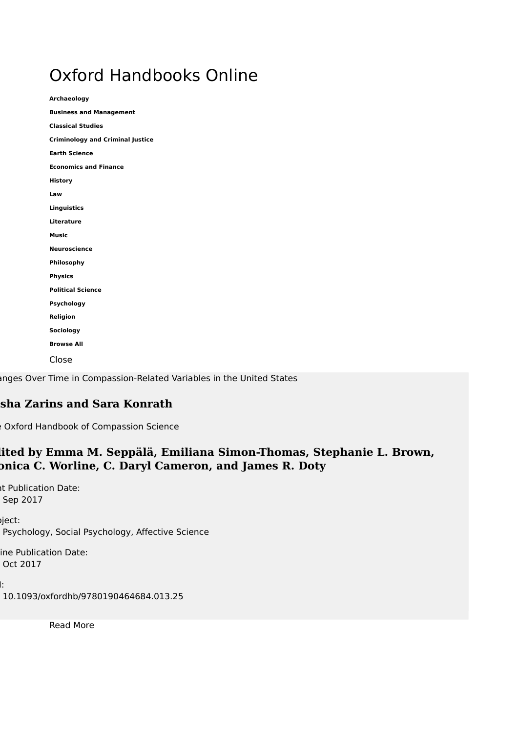# Oxford Handbooks Online

| Archaeology                             |
|-----------------------------------------|
| <b>Business and Management</b>          |
| <b>Classical Studies</b>                |
| <b>Criminology and Criminal Justice</b> |
| <b>Earth Science</b>                    |
| <b>Economics and Finance</b>            |
| <b>History</b>                          |
| Law                                     |
| <b>Linguistics</b>                      |
| <b>Literature</b>                       |
| <b>Music</b>                            |
| <b>Neuroscience</b>                     |
| Philosophy                              |
| <b>Physics</b>                          |
| <b>Political Science</b>                |
| Psychology                              |
| Religion                                |
| <b>Sociology</b>                        |
| <b>Browse All</b>                       |
| Close                                   |
|                                         |

Inges Over Time in Compassion-Related Variables in the United States

## **Sasha Zarins and Sara Konrath**

Oxford Handbook of Compassion Science

## **Edited by Emma M. Seppälä, Emiliana Simon-Thomas, Stephanie L. Brown, Monica C. Worline, C. Daryl Cameron, and James R. Doty**

It Publication Date: Sep 2017

ject: Psychology, Social Psychology, Affective Science

ine Publication Date: Oct 2017

DOI: 10.1093/oxfordhb/9780190464684.013.25

Read More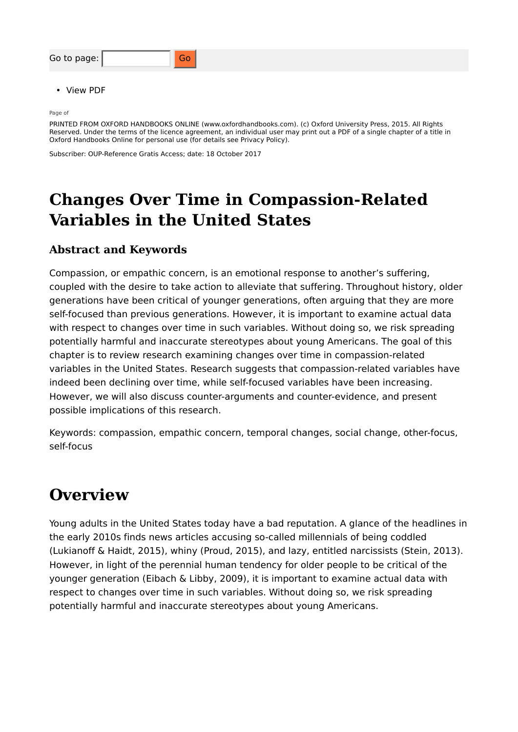| Go to page: $\vert$          | Go |  |  |
|------------------------------|----|--|--|
| <b>View PDF</b><br>$\bullet$ |    |  |  |

Page of

PRINTED FROM OXFORD HANDBOOKS ONLINE (www.oxfordhandbooks.com). (c) Oxford University Press, 2015. All Rights Reserved. Under the terms of the licence agreement, an individual user may print out a PDF of a single chapter of a title in Oxford Handbooks Online for personal use (for details see Privacy Policy).

Subscriber: OUP-Reference Gratis Access; date: 18 October 2017

# **Changes Over Time in Compassion-Related Variables in the United States**

## **Abstract and Keywords**

Compassion, or empathic concern, is an emotional response to another's suffering, coupled with the desire to take action to alleviate that suffering. Throughout history, older generations have been critical of younger generations, often arguing that they are more self-focused than previous generations. However, it is important to examine actual data with respect to changes over time in such variables. Without doing so, we risk spreading potentially harmful and inaccurate stereotypes about young Americans. The goal of this chapter is to review research examining changes over time in compassion-related variables in the United States. Research suggests that compassion-related variables have indeed been declining over time, while self-focused variables have been increasing. However, we will also discuss counter-arguments and counter-evidence, and present possible implications of this research.

Keywords: compassion, empathic concern, temporal changes, social change, other-focus, self-focus

# **Overview**

Young adults in the United States today have a bad reputation. A glance of the headlines in the early 2010s finds news articles accusing so-called millennials of being coddled (Lukianoff & Haidt, 2015), whiny (Proud, 2015), and lazy, entitled narcissists (Stein, 2013). However, in light of the perennial human tendency for older people to be critical of the younger generation (Eibach & Libby, 2009), it is important to examine actual data with respect to changes over time in such variables. Without doing so, we risk spreading potentially harmful and inaccurate stereotypes about young Americans.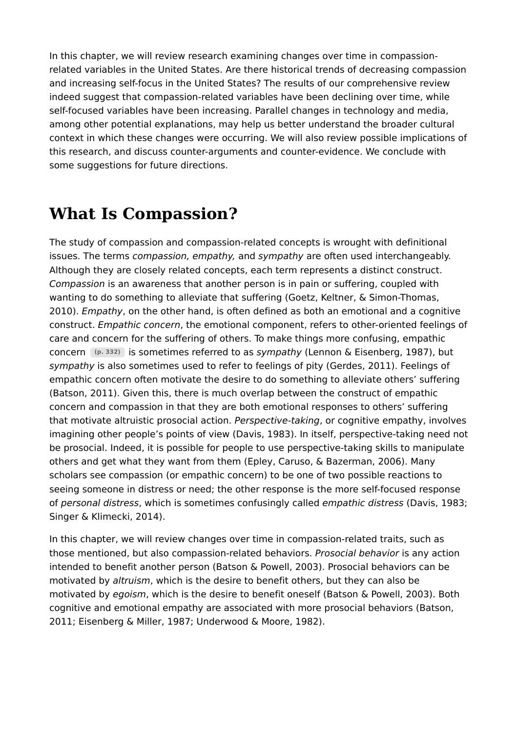In this chapter, we will review research examining changes over time in compassionrelated variables in the United States. Are there historical trends of decreasing compassion and increasing self-focus in the United States? The results of our comprehensive review indeed suggest that compassion-related variables have been declining over time, while self-focused variables have been increasing. Parallel changes in technology and media, among other potential explanations, may help us better understand the broader cultural context in which these changes were occurring. We will also review possible implications of this research, and discuss counter-arguments and counter-evidence. We conclude with some suggestions for future directions.

# **What Is Compassion?**

The study of compassion and compassion-related concepts is wrought with definitional issues. The terms *compassion, empathy,* and *sympathy* are often used interchangeably. Although they are closely related concepts, each term represents a distinct construct. *Compassion* is an awareness that another person is in pain or suffering, coupled with wanting to do something to alleviate that suffering (Goetz, Keltner, & Simon-Thomas, 2010). *Empathy*, on the other hand, is often defined as both an emotional and a cognitive construct. *Empathic concern*, the emotional component, refers to other-oriented feelings of care and concern for the suffering of others. To make things more confusing, empathic concern (p. 332) is sometimes referred to as *sympathy* (Lennon & Eisenberg, 1987), but *sympathy* is also sometimes used to refer to feelings of pity (Gerdes, 2011). Feelings of empathic concern often motivate the desire to do something to alleviate others' suffering (Batson, 2011). Given this, there is much overlap between the construct of empathic concern and compassion in that they are both emotional responses to others' suffering that motivate altruistic prosocial action. *Perspective-taking*, or cognitive empathy, involves imagining other people's points of view (Davis, 1983). In itself, perspective-taking need not be prosocial. Indeed, it is possible for people to use perspective-taking skills to manipulate others and get what they want from them (Epley, Caruso, & Bazerman, 2006). Many scholars see compassion (or empathic concern) to be one of two possible reactions to seeing someone in distress or need; the other response is the more self-focused response of *personal distress*, which is sometimes confusingly called *empathic distress* (Davis, 1983; Singer & Klimecki, 2014).

In this chapter, we will review changes over time in compassion-related traits, such as those mentioned, but also compassion-related behaviors. *Prosocial behavior* is any action intended to benefit another person (Batson & Powell, 2003). Prosocial behaviors can be motivated by *altruism*, which is the desire to benefit others, but they can also be motivated by *egoism*, which is the desire to benefit oneself (Batson & Powell, 2003). Both cognitive and emotional empathy are associated with more prosocial behaviors (Batson, 2011; Eisenberg & Miller, 1987; Underwood & Moore, 1982).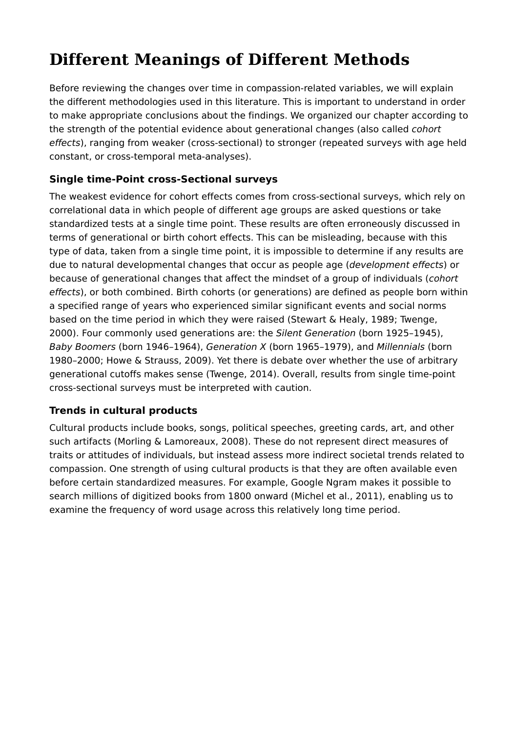# **Different Meanings of Different Methods**

Before reviewing the changes over time in compassion-related variables, we will explain the different methodologies used in this literature. This is important to understand in order to make appropriate conclusions about the findings. We organized our chapter according to the strength of the potential evidence about generational changes (also called *cohort effects*), ranging from weaker (cross-sectional) to stronger (repeated surveys with age held constant, or cross-temporal meta-analyses).

## **Single time-Point cross-Sectional surveys**

The weakest evidence for cohort effects comes from cross-sectional surveys, which rely on correlational data in which people of different age groups are asked questions or take standardized tests at a single time point. These results are often erroneously discussed in terms of generational or birth cohort effects. This can be misleading, because with this type of data, taken from a single time point, it is impossible to determine if any results are due to natural developmental changes that occur as people age (*development effects*) or because of generational changes that affect the mindset of a group of individuals (*cohort effects*), or both combined. Birth cohorts (or generations) are defined as people born within a specified range of years who experienced similar significant events and social norms based on the time period in which they were raised (Stewart & Healy, 1989; Twenge, 2000). Four commonly used generations are: the *Silent Generation* (born 1925–1945), *Baby Boomers* (born 1946–1964), *Generation X* (born 1965–1979), and *Millennials* (born 1980–2000; Howe & Strauss, 2009). Yet there is debate over whether the use of arbitrary generational cutoffs makes sense (Twenge, 2014). Overall, results from single time-point cross-sectional surveys must be interpreted with caution.

### **Trends in cultural products**

Cultural products include books, songs, political speeches, greeting cards, art, and other such artifacts (Morling & Lamoreaux, 2008). These do not represent direct measures of traits or attitudes of individuals, but instead assess more indirect societal trends related to compassion. One strength of using cultural products is that they are often available even before certain standardized measures. For example, Google Ngram makes it possible to search millions of digitized books from 1800 onward (Michel et al., 2011), enabling us to examine the frequency of word usage across this relatively long time period.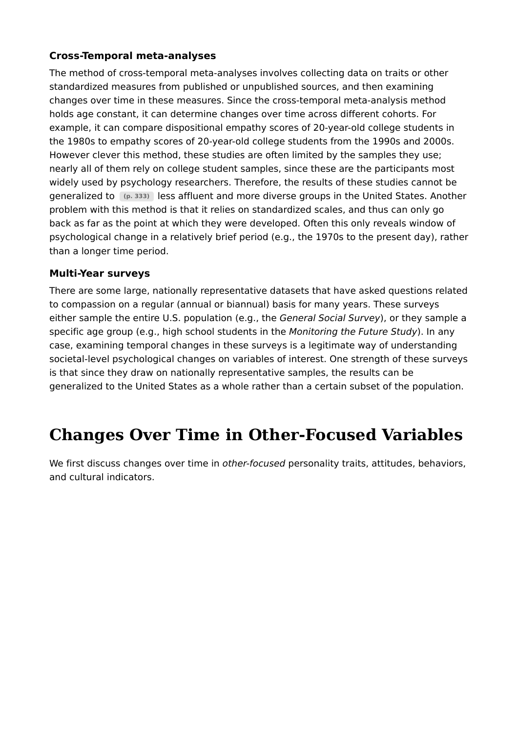## **Cross-Temporal meta-analyses**

The method of cross-temporal meta-analyses involves collecting data on traits or other standardized measures from published or unpublished sources, and then examining changes over time in these measures. Since the cross-temporal meta-analysis method holds age constant, it can determine changes over time across different cohorts. For example, it can compare dispositional empathy scores of 20-year-old college students in the 1980s to empathy scores of 20-year-old college students from the 1990s and 2000s. However clever this method, these studies are often limited by the samples they use; nearly all of them rely on college student samples, since these are the participants most widely used by psychology researchers. Therefore, the results of these studies cannot be generalized to stars affluent and more diverse groups in the United States. Another problem with this method is that it relies on standardized scales, and thus can only go back as far as the point at which they were developed. Often this only reveals window of psychological change in a relatively brief period (e.g., the 1970s to the present day), rather than a longer time period.

#### **Multi-Year surveys**

There are some large, nationally representative datasets that have asked questions related to compassion on a regular (annual or biannual) basis for many years. These surveys either sample the entire U.S. population (e.g., the *General Social Survey*), or they sample a specific age group (e.g., high school students in the *Monitoring the Future Study*). In any case, examining temporal changes in these surveys is a legitimate way of understanding societal-level psychological changes on variables of interest. One strength of these surveys is that since they draw on nationally representative samples, the results can be generalized to the United States as a whole rather than a certain subset of the population.

# **Changes Over Time in Other-Focused Variables**

We first discuss changes over time in *other-focused* personality traits, attitudes, behaviors, and cultural indicators.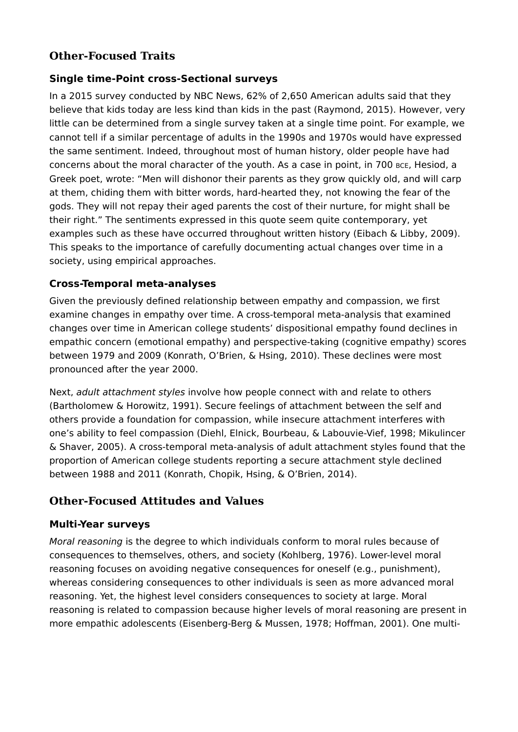## **Other-Focused Traits**

### **Single time-Point cross-Sectional surveys**

In a 2015 survey conducted by NBC News, 62% of 2,650 American adults said that they believe that kids today are less kind than kids in the past (Raymond, 2015). However, very little can be determined from a single survey taken at a single time point. For example, we cannot tell if a similar percentage of adults in the 1990s and 1970s would have expressed the same sentiment. Indeed, throughout most of human history, older people have had concerns about the moral character of the youth. As a case in point, in 700 BCE, Hesiod, a Greek poet, wrote: "Men will dishonor their parents as they grow quickly old, and will carp at them, chiding them with bitter words, hard-hearted they, not knowing the fear of the gods. They will not repay their aged parents the cost of their nurture, for might shall be their right." The sentiments expressed in this quote seem quite contemporary, yet examples such as these have occurred throughout written history (Eibach & Libby, 2009). This speaks to the importance of carefully documenting actual changes over time in a society, using empirical approaches.

## **Cross-Temporal meta-analyses**

Given the previously defined relationship between empathy and compassion, we first examine changes in empathy over time. A cross-temporal meta-analysis that examined changes over time in American college students' dispositional empathy found declines in empathic concern (emotional empathy) and perspective-taking (cognitive empathy) scores between 1979 and 2009 (Konrath, O'Brien, & Hsing, 2010). These declines were most pronounced after the year 2000.

Next, *adult attachment styles* involve how people connect with and relate to others (Bartholomew & Horowitz, 1991). Secure feelings of attachment between the self and others provide a foundation for compassion, while insecure attachment interferes with one's ability to feel compassion (Diehl, Elnick, Bourbeau, & Labouvie-Vief, 1998; Mikulincer & Shaver, 2005). A cross-temporal meta-analysis of adult attachment styles found that the proportion of American college students reporting a secure attachment style declined between 1988 and 2011 (Konrath, Chopik, Hsing, & O'Brien, 2014).

## **Other-Focused Attitudes and Values**

### **Multi-Year surveys**

*Moral reasoning* is the degree to which individuals conform to moral rules because of consequences to themselves, others, and society (Kohlberg, 1976). Lower-level moral reasoning focuses on avoiding negative consequences for oneself (e.g., punishment), whereas considering consequences to other individuals is seen as more advanced moral reasoning. Yet, the highest level considers consequences to society at large. Moral reasoning is related to compassion because higher levels of moral reasoning are present in more empathic adolescents (Eisenberg-Berg & Mussen, 1978; Hoffman, 2001). One multi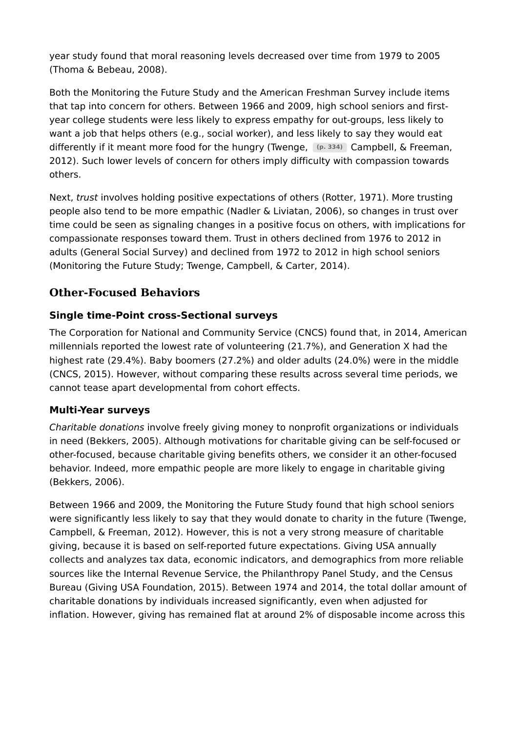year study found that moral reasoning levels decreased over time from 1979 to 2005 (Thoma & Bebeau, 2008).

Both the Monitoring the Future Study and the American Freshman Survey include items that tap into concern for others. Between 1966 and 2009, high school seniors and firstyear college students were less likely to express empathy for out-groups, less likely to want a job that helps others (e.g., social worker), and less likely to say they would eat differently if it meant more food for the hungry (Twenge, Cp. 334) Campbell, & Freeman, 2012). Such lower levels of concern for others imply difficulty with compassion towards others.

Next, *trust* involves holding positive expectations of others (Rotter, 1971). More trusting people also tend to be more empathic (Nadler & Liviatan, 2006), so changes in trust over time could be seen as signaling changes in a positive focus on others, with implications for compassionate responses toward them. Trust in others declined from 1976 to 2012 in adults (General Social Survey) and declined from 1972 to 2012 in high school seniors (Monitoring the Future Study; Twenge, Campbell, & Carter, 2014).

## **Other-Focused Behaviors**

## **Single time-Point cross-Sectional surveys**

The Corporation for National and Community Service (CNCS) found that, in 2014, American millennials reported the lowest rate of volunteering (21.7%), and Generation X had the highest rate (29.4%). Baby boomers (27.2%) and older adults (24.0%) were in the middle (CNCS, 2015). However, without comparing these results across several time periods, we cannot tease apart developmental from cohort effects.

### **Multi-Year surveys**

*Charitable donations* involve freely giving money to nonprofit organizations or individuals in need (Bekkers, 2005). Although motivations for charitable giving can be self-focused or other-focused, because charitable giving benefits others, we consider it an other-focused behavior. Indeed, more empathic people are more likely to engage in charitable giving (Bekkers, 2006).

Between 1966 and 2009, the Monitoring the Future Study found that high school seniors were significantly less likely to say that they would donate to charity in the future (Twenge, Campbell, & Freeman, 2012). However, this is not a very strong measure of charitable giving, because it is based on self-reported future expectations. Giving USA annually collects and analyzes tax data, economic indicators, and demographics from more reliable sources like the Internal Revenue Service, the Philanthropy Panel Study, and the Census Bureau (Giving USA Foundation, 2015). Between 1974 and 2014, the total dollar amount of charitable donations by individuals increased significantly, even when adjusted for inflation. However, giving has remained flat at around 2% of disposable income across this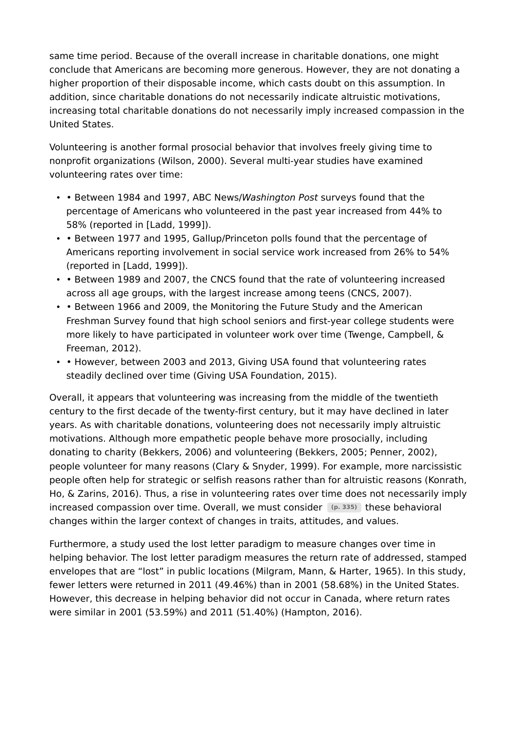same time period. Because of the overall increase in charitable donations, one might conclude that Americans are becoming more generous. However, they are not donating a higher proportion of their disposable income, which casts doubt on this assumption. In addition, since charitable donations do not necessarily indicate altruistic motivations, increasing total charitable donations do not necessarily imply increased compassion in the United States.

Volunteering is another formal prosocial behavior that involves freely giving time to nonprofit organizations (Wilson, 2000). Several multi-year studies have examined volunteering rates over time:

- • Between 1984 and 1997, ABC News/*Washington Post* surveys found that the percentage of Americans who volunteered in the past year increased from 44% to 58% (reported in [Ladd, 1999]).
- • Between 1977 and 1995, Gallup/Princeton polls found that the percentage of Americans reporting involvement in social service work increased from 26% to 54% (reported in [Ladd, 1999]).
- • Between 1989 and 2007, the CNCS found that the rate of volunteering increased across all age groups, with the largest increase among teens (CNCS, 2007).
- • Between 1966 and 2009, the Monitoring the Future Study and the American Freshman Survey found that high school seniors and first-year college students were more likely to have participated in volunteer work over time (Twenge, Campbell, & Freeman, 2012).
- • However, between 2003 and 2013, Giving USA found that volunteering rates steadily declined over time (Giving USA Foundation, 2015).

Overall, it appears that volunteering was increasing from the middle of the twentieth century to the first decade of the twenty-first century, but it may have declined in later years. As with charitable donations, volunteering does not necessarily imply altruistic motivations. Although more empathetic people behave more prosocially, including donating to charity (Bekkers, 2006) and volunteering (Bekkers, 2005; Penner, 2002), people volunteer for many reasons (Clary & Snyder, 1999). For example, more narcissistic people often help for strategic or selfish reasons rather than for altruistic reasons (Konrath, Ho, & Zarins, 2016). Thus, a rise in volunteering rates over time does not necessarily imply increased compassion over time. Overall, we must consider (p. 335) these behavioral changes within the larger context of changes in traits, attitudes, and values.

Furthermore, a study used the lost letter paradigm to measure changes over time in helping behavior. The lost letter paradigm measures the return rate of addressed, stamped envelopes that are "lost" in public locations (Milgram, Mann, & Harter, 1965). In this study, fewer letters were returned in 2011 (49.46%) than in 2001 (58.68%) in the United States. However, this decrease in helping behavior did not occur in Canada, where return rates were similar in 2001 (53.59%) and 2011 (51.40%) (Hampton, 2016).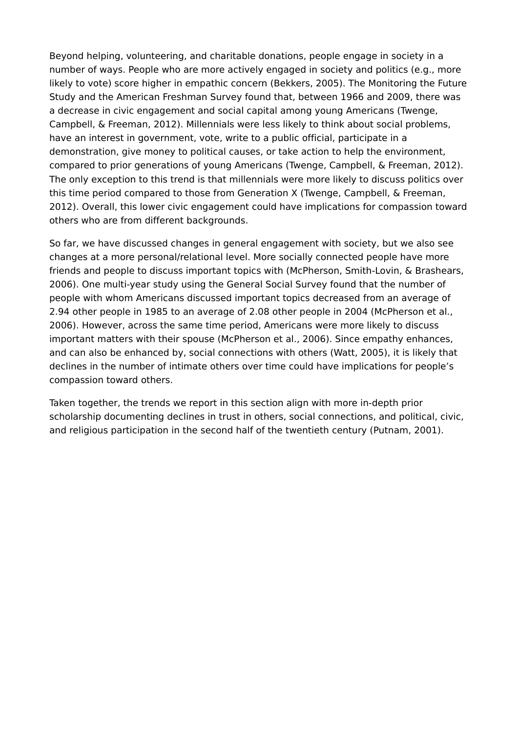Beyond helping, volunteering, and charitable donations, people engage in society in a number of ways. People who are more actively engaged in society and politics (e.g., more likely to vote) score higher in empathic concern (Bekkers, 2005). The Monitoring the Future Study and the American Freshman Survey found that, between 1966 and 2009, there was a decrease in civic engagement and social capital among young Americans (Twenge, Campbell, & Freeman, 2012). Millennials were less likely to think about social problems, have an interest in government, vote, write to a public official, participate in a demonstration, give money to political causes, or take action to help the environment, compared to prior generations of young Americans (Twenge, Campbell, & Freeman, 2012). The only exception to this trend is that millennials were more likely to discuss politics over this time period compared to those from Generation X (Twenge, Campbell, & Freeman, 2012). Overall, this lower civic engagement could have implications for compassion toward others who are from different backgrounds.

So far, we have discussed changes in general engagement with society, but we also see changes at a more personal/relational level. More socially connected people have more friends and people to discuss important topics with (McPherson, Smith-Lovin, & Brashears, 2006). One multi-year study using the General Social Survey found that the number of people with whom Americans discussed important topics decreased from an average of 2.94 other people in 1985 to an average of 2.08 other people in 2004 (McPherson et al., 2006). However, across the same time period, Americans were more likely to discuss important matters with their spouse (McPherson et al., 2006). Since empathy enhances, and can also be enhanced by, social connections with others (Watt, 2005), it is likely that declines in the number of intimate others over time could have implications for people's compassion toward others.

Taken together, the trends we report in this section align with more in-depth prior scholarship documenting declines in trust in others, social connections, and political, civic, and religious participation in the second half of the twentieth century (Putnam, 2001).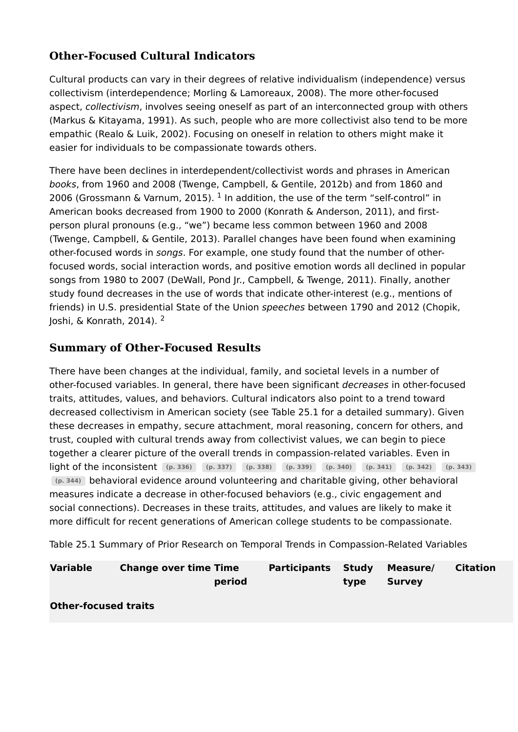# **Other-Focused Cultural Indicators**

Cultural products can vary in their degrees of relative individualism (independence) versus collectivism (interdependence; Morling & Lamoreaux, 2008). The more other-focused aspect, *collectivism*, involves seeing oneself as part of an interconnected group with others (Markus & Kitayama, 1991). As such, people who are more collectivist also tend to be more empathic (Realo & Luik, 2002). Focusing on oneself in relation to others might make it easier for individuals to be compassionate towards others.

There have been declines in interdependent/collectivist words and phrases in American *books*, from 1960 and 2008 (Twenge, Campbell, & Gentile, 2012b) and from 1860 and 2006 (Grossmann & Varnum, 2015).  $^1$  In addition, the use of the term "self-control" in American books decreased from 1900 to 2000 (Konrath & Anderson, 2011), and firstperson plural pronouns (e.g., "we") became less common between 1960 and 2008 (Twenge, Campbell, & Gentile, 2013). Parallel changes have been found when examining other-focused words in *songs*. For example, one study found that the number of otherfocused words, social interaction words, and positive emotion words all declined in popular songs from 1980 to 2007 (DeWall, Pond Jr., Campbell, & Twenge, 2011). Finally, another study found decreases in the use of words that indicate other-interest (e.g., mentions of friends) in U.S. presidential State of the Union *speeches* between 1790 and 2012 (Chopik, Joshi, & Konrath, 2014). 2 and 2 and 2 and 2 and 2 and 2 and 2 and 2 and 2 and 2 and 2 and 2 and 2 and 2 and 2 and 2 and 2 and 2 and 2

# **Summary of Other-Focused Results**

There have been changes at the individual, family, and societal levels in a number of other-focused variables. In general, there have been significant *decreases* in other-focused traits, attitudes, values, and behaviors. Cultural indicators also point to a trend toward decreased collectivism in American society (see Table 25.1 for a detailed summary). Given these decreases in empathy, secure attachment, moral reasoning, concern for others, and trust, coupled with cultural trends away from collectivist values, we can begin to piece together a clearer picture of the overall trends in compassion-related variables. Even in light of the inconsistent **(p. 336) (p. 337) (p. 338) (p. 339) (p. 340) (p. 341) (p. 342) (p. 343)**  behavioral evidence around volunteering and charitable giving, other behavioral **(p. 344)** measures indicate a decrease in other-focused behaviors (e.g., civic engagement and social connections). Decreases in these traits, attitudes, and values are likely to make it more difficult for recent generations of American college students to be compassionate.

Table 25.1 Summary of Prior Research on Temporal Trends in Compassion-Related Variables

| <b>Variable</b>             | <b>Change over time Time</b><br>period | <b>Participants Study</b> | type | <b>Measure/</b><br><b>Survey</b> | <b>Citation</b> |
|-----------------------------|----------------------------------------|---------------------------|------|----------------------------------|-----------------|
| <b>Other-focused traits</b> |                                        |                           |      |                                  |                 |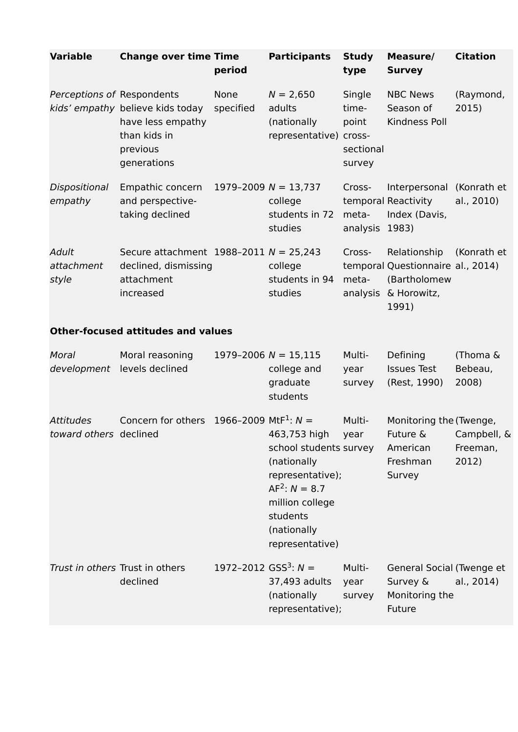| <b>Variable</b>                   | <b>Change over time Time</b>                                                                     | period                             | <b>Participants</b>                                                                                                                                              | <b>Study</b><br>type                            | <b>Measure/</b><br><b>Survey</b>                                                                   | <b>Citation</b>                  |
|-----------------------------------|--------------------------------------------------------------------------------------------------|------------------------------------|------------------------------------------------------------------------------------------------------------------------------------------------------------------|-------------------------------------------------|----------------------------------------------------------------------------------------------------|----------------------------------|
| Perceptions of Respondents        | kids' empathy believe kids today<br>have less empathy<br>than kids in<br>previous<br>generations | None<br>specified                  | $N = 2,650$<br>adults<br>(nationally<br>representative) cross-                                                                                                   | Single<br>time-<br>point<br>sectional<br>survey | <b>NBC News</b><br>Season of<br>Kindness Poll                                                      | (Raymond,<br>2015)               |
| Dispositional<br>empathy          | Empathic concern<br>and perspective-<br>taking declined                                          |                                    | $1979 - 2009 N = 13,737$<br>college<br>students in 72<br>studies                                                                                                 | Cross-<br>meta-<br>analysis 1983)               | Interpersonal<br>temporal Reactivity<br>Index (Davis,                                              | (Konrath et<br>al., 2010)        |
| Adult<br>attachment<br>style      | Secure attachment 1988-2011 $N = 25,243$<br>declined, dismissing<br>attachment<br>increased      |                                    | college<br>students in 94<br>studies                                                                                                                             | Cross-<br>meta-                                 | Relationship<br>temporal Questionnaire al., 2014)<br>(Bartholomew<br>analysis & Horowitz,<br>1991) | (Konrath et                      |
|                                   | <b>Other-focused attitudes and values</b>                                                        |                                    |                                                                                                                                                                  |                                                 |                                                                                                    |                                  |
| Moral<br>development              | Moral reasoning<br>levels declined                                                               |                                    | $1979 - 2006 N = 15,115$<br>college and<br>graduate<br>students                                                                                                  | Multi-<br>year<br>survey                        | Defining<br><b>Issues Test</b><br>(Rest, 1990)                                                     | (Thoma &<br>Bebeau,<br>2008)     |
| <b>Attitudes</b><br>toward others | Concern for others 1966-2009 MtF <sup>1</sup> : $N =$<br>declined                                |                                    | 463,753 high<br>school students survey<br>(nationally<br>representative);<br>$AF^2$ : $N = 8.7$<br>million college<br>students<br>(nationally<br>representative) | Multi-<br>year                                  | Monitoring the (Twenge,<br>Future &<br>American<br>Freshman<br>Survey                              | Campbell, &<br>Freeman,<br>2012) |
| Trust in others Trust in others   | declined                                                                                         | 1972-2012 GSS <sup>3</sup> : $N =$ | 37,493 adults<br>(nationally<br>representative);                                                                                                                 | Multi-<br>year<br>survey                        | General Social (Twenge et<br>Survey &<br>Monitoring the<br>Future                                  | al., 2014)                       |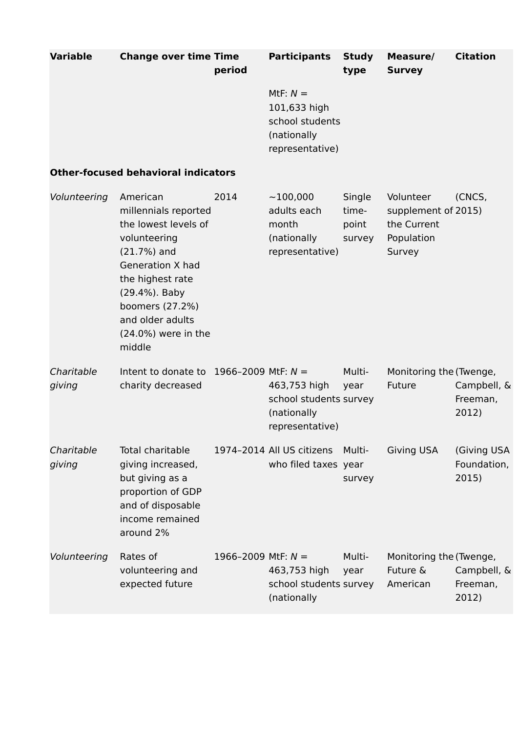| <b>Variable</b>      | <b>Change over time Time</b>                                                                                                                                                                                                         | period               | <b>Participants</b>                                                             | <b>Study</b><br>type               | <b>Measure/</b><br><b>Survey</b>                                        | <b>Citation</b>                     |
|----------------------|--------------------------------------------------------------------------------------------------------------------------------------------------------------------------------------------------------------------------------------|----------------------|---------------------------------------------------------------------------------|------------------------------------|-------------------------------------------------------------------------|-------------------------------------|
|                      |                                                                                                                                                                                                                                      |                      | $MtF: N =$<br>101,633 high<br>school students<br>(nationally<br>representative) |                                    |                                                                         |                                     |
|                      | <b>Other-focused behavioral indicators</b>                                                                                                                                                                                           |                      |                                                                                 |                                    |                                                                         |                                     |
| Volunteering         | American<br>millennials reported<br>the lowest levels of<br>volunteering<br>$(21.7%)$ and<br><b>Generation X had</b><br>the highest rate<br>(29.4%). Baby<br>boomers (27.2%)<br>and older adults<br>$(24.0\%)$ were in the<br>middle | 2014                 | ~100,000<br>adults each<br>month<br>(nationally<br>representative)              | Single<br>time-<br>point<br>survey | Volunteer<br>supplement of 2015)<br>the Current<br>Population<br>Survey | (CNCS,                              |
| Charitable<br>giving | Intent to donate to 1966-2009 MtF: $N =$<br>charity decreased                                                                                                                                                                        |                      | 463,753 high<br>school students survey<br>(nationally<br>representative)        | Multi-<br>year                     | Monitoring the (Twenge,<br>Future                                       | Campbell, &<br>Freeman,<br>2012)    |
| Charitable<br>giving | Total charitable<br>giving increased,<br>but giving as a<br>proportion of GDP<br>and of disposable<br>income remained<br>around 2%                                                                                                   |                      | 1974-2014 All US citizens<br>who filed taxes year                               | Multi-<br>survey                   | <b>Giving USA</b>                                                       | (Giving USA<br>Foundation,<br>2015) |
| Volunteering         | Rates of<br>volunteering and<br>expected future                                                                                                                                                                                      | 1966-2009 MtF: $N =$ | 463,753 high<br>school students survey<br>(nationally                           | Multi-<br>year                     | Monitoring the (Twenge,<br>Future &<br>American                         | Campbell, &<br>Freeman,<br>2012)    |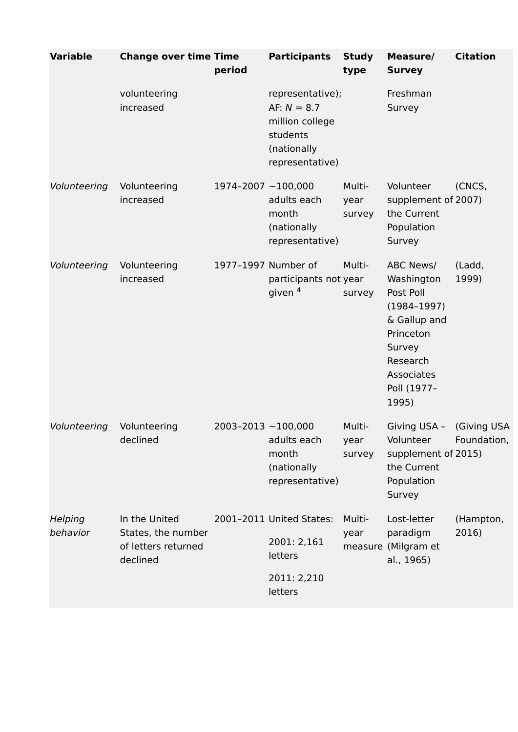| <b>Variable</b>     | <b>Change over time Time</b>                                           | period                  | <b>Participants</b>                                                                                | <b>Study</b><br>type     | <b>Measure/</b><br><b>Survey</b>                                                                                                                        | <b>Citation</b>            |
|---------------------|------------------------------------------------------------------------|-------------------------|----------------------------------------------------------------------------------------------------|--------------------------|---------------------------------------------------------------------------------------------------------------------------------------------------------|----------------------------|
|                     | volunteering<br>increased                                              |                         | representative);<br>AF: $N = 8.7$<br>million college<br>students<br>(nationally<br>representative) |                          | Freshman<br>Survey                                                                                                                                      |                            |
| Volunteering        | Volunteering<br>increased                                              | $1974 - 2007 - 100,000$ | adults each<br>month<br>(nationally<br>representative)                                             | Multi-<br>year<br>survey | Volunteer<br>supplement of 2007)<br>the Current<br>Population<br>Survey                                                                                 | (CNCS,                     |
| Volunteering        | Volunteering<br>increased                                              | 1977-1997 Number of     | participants not year<br>given $4$                                                                 | Multi-<br>survey         | <b>ABC News/</b><br>Washington<br>Post Poll<br>$(1984 - 1997)$<br>& Gallup and<br>Princeton<br>Survey<br>Research<br>Associates<br>Poll (1977-<br>1995) | (Ladd,<br>1999)            |
| Volunteering        | Volunteering<br>declined                                               | $2003 - 2013 - 100,000$ | adults each<br>month<br>(nationally<br>representative)                                             | Multi-<br>year<br>survey | Giving USA -<br>Volunteer<br>supplement of 2015)<br>the Current<br>Population<br>Survey                                                                 | (Giving USA<br>Foundation, |
| Helping<br>behavior | In the United<br>States, the number<br>of letters returned<br>declined |                         | 2001-2011 United States:<br>2001: 2,161<br>letters<br>2011: 2,210<br>letters                       | Multi-<br>year           | Lost-letter<br>paradigm<br>measure (Milgram et<br>al., 1965)                                                                                            | (Hampton,<br>2016)         |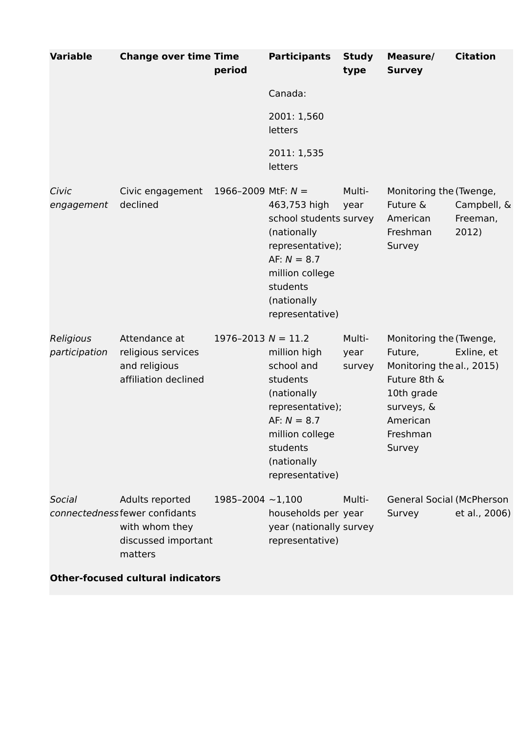| <b>Variable</b>            | <b>Change over time Time</b>                                                                          | period                 | <b>Participants</b>                                                                                                                                         | <b>Study</b><br>type     | <b>Measure/</b><br><b>Survey</b>                                                                                                              | <b>Citation</b>                  |
|----------------------------|-------------------------------------------------------------------------------------------------------|------------------------|-------------------------------------------------------------------------------------------------------------------------------------------------------------|--------------------------|-----------------------------------------------------------------------------------------------------------------------------------------------|----------------------------------|
|                            |                                                                                                       |                        | Canada:                                                                                                                                                     |                          |                                                                                                                                               |                                  |
|                            |                                                                                                       |                        | 2001: 1,560<br>letters                                                                                                                                      |                          |                                                                                                                                               |                                  |
|                            |                                                                                                       |                        | 2011: 1,535<br>letters                                                                                                                                      |                          |                                                                                                                                               |                                  |
| Civic<br>engagement        | Civic engagement<br>declined                                                                          | 1966-2009 MtF: $N =$   | 463,753 high<br>school students survey<br>(nationally<br>representative);<br>AF: $N = 8.7$<br>million college<br>students<br>(nationally<br>representative) | Multi-<br>year           | Monitoring the (Twenge,<br>Future &<br>American<br>Freshman<br>Survey                                                                         | Campbell, &<br>Freeman,<br>2012) |
| Religious<br>participation | Attendance at<br>religious services<br>and religious<br>affiliation declined                          | $1976 - 2013 N = 11.2$ | million high<br>school and<br>students<br>(nationally<br>representative);<br>AF: $N = 8.7$<br>million college<br>students<br>(nationally<br>representative) | Multi-<br>year<br>survey | Monitoring the (Twenge,<br>Future,<br>Monitoring the al., 2015)<br>Future 8th &<br>10th grade<br>surveys, &<br>American<br>Freshman<br>Survey | Exline, et                       |
| Social                     | Adults reported<br>connectedness fewer confidants<br>with whom they<br>discussed important<br>matters | $1985 - 2004 - 1,100$  | households per year<br>year (nationally survey<br>representative)                                                                                           | Multi-                   | <b>General Social (McPherson</b><br>Survey                                                                                                    | et al., 2006)                    |
|                            | <b>Other-focused cultural indicators</b>                                                              |                        |                                                                                                                                                             |                          |                                                                                                                                               |                                  |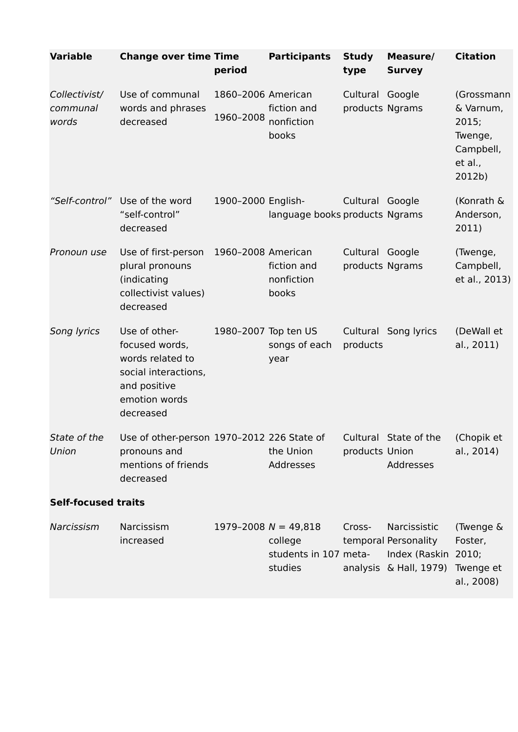| <b>Variable</b>                    | <b>Change over time Time</b>                                                                                              | period                          | <b>Participants</b>                                                     | <b>Study</b><br>type               | <b>Measure/</b><br><b>Survey</b>                                                                | <b>Citation</b>                                                               |
|------------------------------------|---------------------------------------------------------------------------------------------------------------------------|---------------------------------|-------------------------------------------------------------------------|------------------------------------|-------------------------------------------------------------------------------------------------|-------------------------------------------------------------------------------|
| Collectivist/<br>communal<br>words | Use of communal<br>words and phrases<br>decreased                                                                         | 1860-2006 American<br>1960-2008 | fiction and<br>nonfiction<br>books                                      | Cultural Google<br>products Ngrams |                                                                                                 | (Grossmann<br>& Varnum,<br>2015;<br>Twenge,<br>Campbell,<br>et al.,<br>2012b) |
| "Self-control"                     | Use of the word<br>"self-control"<br>decreased                                                                            | 1900-2000 English-              | language books products Ngrams                                          | Cultural Google                    |                                                                                                 | (Konrath &<br>Anderson,<br>2011)                                              |
| Pronoun use                        | Use of first-person<br>plural pronouns<br>(indicating<br>collectivist values)<br>decreased                                | 1960-2008 American              | fiction and<br>nonfiction<br>books                                      | Cultural Google<br>products Ngrams |                                                                                                 | (Twenge,<br>Campbell,<br>et al., 2013)                                        |
| <b>Song lyrics</b>                 | Use of other-<br>focused words,<br>words related to<br>social interactions,<br>and positive<br>emotion words<br>decreased | 1980-2007 Top ten US            | songs of each<br>year                                                   | products                           | Cultural Song lyrics                                                                            | (DeWall et<br>al., 2011)                                                      |
| State of the<br>Union              | Use of other-person 1970-2012 226 State of<br>pronouns and<br>mentions of friends<br>decreased                            |                                 | the Union<br>Addresses                                                  | products Union                     | Cultural State of the<br>Addresses                                                              | (Chopik et<br>al., 2014)                                                      |
| <b>Self-focused traits</b>         |                                                                                                                           |                                 |                                                                         |                                    |                                                                                                 |                                                                               |
| Narcissism                         | Narcissism<br>increased                                                                                                   |                                 | $1979 - 2008 N = 49,818$<br>college<br>students in 107 meta-<br>studies | Cross-                             | Narcissistic<br>temporal Personality<br>Index (Raskin 2010;<br>analysis & Hall, 1979) Twenge et | (Twenge &<br>Foster,<br>al., 2008)                                            |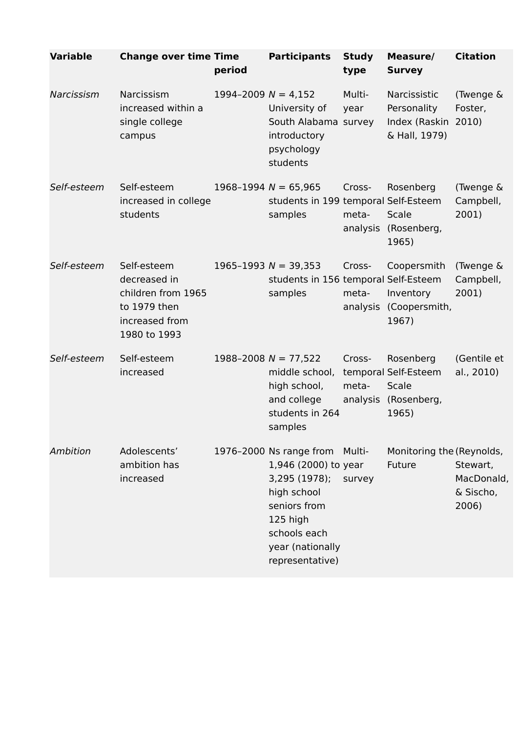| <b>Variable</b> | <b>Change over time Time</b>                                                                        | period                | <b>Participants</b>                                                                                                                                                              | <b>Study</b><br>type | <b>Measure/</b><br><b>Survey</b>                                            | <b>Citation</b>                              |
|-----------------|-----------------------------------------------------------------------------------------------------|-----------------------|----------------------------------------------------------------------------------------------------------------------------------------------------------------------------------|----------------------|-----------------------------------------------------------------------------|----------------------------------------------|
| Narcissism      | Narcissism<br>increased within a<br>single college<br>campus                                        | 1994-2009 $N = 4,152$ | University of<br>South Alabama survey<br>introductory<br>psychology<br>students                                                                                                  | Multi-<br>year       | Narcissistic<br>Personality<br>Index (Raskin 2010)<br>& Hall, 1979)         | (Twenge &<br>Foster,                         |
| Self-esteem     | Self-esteem<br>increased in college<br>students                                                     |                       | 1968-1994 $N = 65,965$<br>students in 199 temporal Self-Esteem<br>samples                                                                                                        | Cross-<br>meta-      | Rosenberg<br>Scale<br>analysis (Rosenberg,<br>1965)                         | (Twenge &<br>Campbell,<br>2001)              |
| Self-esteem     | Self-esteem<br>decreased in<br>children from 1965<br>to 1979 then<br>increased from<br>1980 to 1993 |                       | 1965-1993 $N = 39,353$<br>students in 156 temporal Self-Esteem<br>samples                                                                                                        | Cross-<br>meta-      | Coopersmith<br>Inventory<br>analysis (Coopersmith,<br>1967)                 | (Twenge &<br>Campbell,<br>2001)              |
| Self-esteem     | Self-esteem<br>increased                                                                            |                       | 1988-2008 $N = 77,522$<br>middle school,<br>high school,<br>and college<br>students in 264<br>samples                                                                            | Cross-<br>meta-      | Rosenberg<br>temporal Self-Esteem<br>Scale<br>analysis (Rosenberg,<br>1965) | (Gentile et<br>al., 2010)                    |
| Ambition        | Adolescents'<br>ambition has<br>increased                                                           |                       | 1976-2000 Ns range from Multi-<br>1,946 (2000) to year<br>3,295 (1978); survey<br>high school<br>seniors from<br>125 high<br>schools each<br>year (nationally<br>representative) |                      | Monitoring the (Reynolds,<br>Future                                         | Stewart,<br>MacDonald,<br>& Sischo,<br>2006) |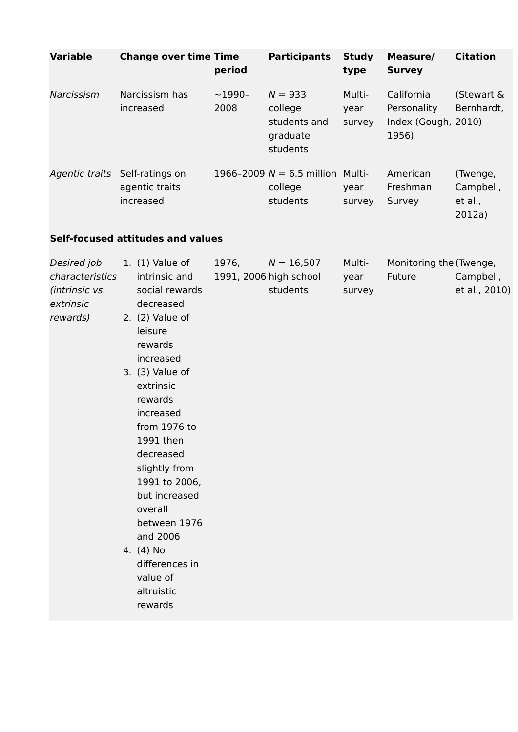| <b>Variable</b> | <b>Change over time Time</b>                   | period           | <b>Participants</b>                                          | <b>Study</b><br>type     | Measure/<br><b>Survey</b>                                 | <b>Citation</b>                            |
|-----------------|------------------------------------------------|------------------|--------------------------------------------------------------|--------------------------|-----------------------------------------------------------|--------------------------------------------|
| Narcissism      | Narcissism has<br>increased                    | $~1990-$<br>2008 | $N = 933$<br>college<br>students and<br>graduate<br>students | Multi-<br>year<br>survey | California<br>Personality<br>Index (Gough, 2010)<br>1956) | (Stewart &<br>Bernhardt,                   |
| Agentic traits  | Self-ratings on<br>agentic traits<br>increased |                  | 1966-2009 $N = 6.5$ million Multi-<br>college<br>students    | year<br>survey           | American<br>Freshman<br>Survey                            | (Twenge,<br>Campbell,<br>et al.,<br>2012a) |

## **Self-focused attitudes and values**

| Desired job     | 1. $(1)$ Value of | 1976, | $N = 16,507$           | Multi- | Monitoring the (Twenge, |               |
|-----------------|-------------------|-------|------------------------|--------|-------------------------|---------------|
| characteristics | intrinsic and     |       | 1991, 2006 high school | year   | Future                  | Campbell,     |
| (intrinsic vs.  | social rewards    |       | students               | survey |                         | et al., 2010) |
| extrinsic       | decreased         |       |                        |        |                         |               |
| rewards)        | 2. $(2)$ Value of |       |                        |        |                         |               |
|                 | leisure           |       |                        |        |                         |               |
|                 | rewards           |       |                        |        |                         |               |
|                 | increased         |       |                        |        |                         |               |
|                 | $3.$ (3) Value of |       |                        |        |                         |               |
|                 | extrinsic         |       |                        |        |                         |               |
|                 | rewards           |       |                        |        |                         |               |
|                 | increased         |       |                        |        |                         |               |
|                 | from 1976 to      |       |                        |        |                         |               |
|                 | 1991 then         |       |                        |        |                         |               |
|                 | decreased         |       |                        |        |                         |               |
|                 | slightly from     |       |                        |        |                         |               |
|                 | 1991 to 2006,     |       |                        |        |                         |               |
|                 | but increased     |       |                        |        |                         |               |
|                 | overall           |       |                        |        |                         |               |
|                 | between 1976      |       |                        |        |                         |               |
|                 | and 2006          |       |                        |        |                         |               |
|                 | 4. (4) No         |       |                        |        |                         |               |
|                 | differences in    |       |                        |        |                         |               |
|                 | value of          |       |                        |        |                         |               |
|                 | altruistic        |       |                        |        |                         |               |
|                 | rewards           |       |                        |        |                         |               |
|                 |                   |       |                        |        |                         |               |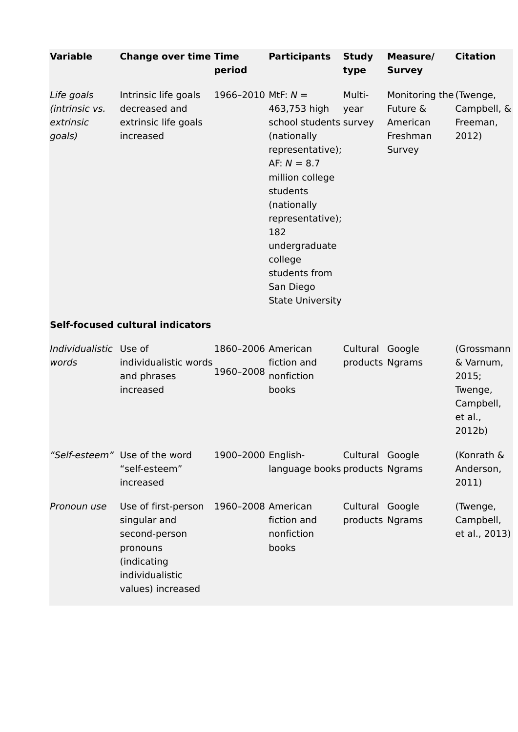| <b>Variable</b>                                     | <b>Change over time Time</b>                                               | period               | <b>Participants</b>                                                                                                                                                                                                                                      | <b>Study</b><br>type | Measure/<br><b>Survey</b>                                             | <b>Citation</b>                  |
|-----------------------------------------------------|----------------------------------------------------------------------------|----------------------|----------------------------------------------------------------------------------------------------------------------------------------------------------------------------------------------------------------------------------------------------------|----------------------|-----------------------------------------------------------------------|----------------------------------|
| Life goals<br>(intrinsic vs.<br>extrinsic<br>goals) | Intrinsic life goals<br>decreased and<br>extrinsic life goals<br>increased | 1966-2010 MtF: $N =$ | 463,753 high<br>school students survey<br>(nationally<br>representative);<br>AF: $N = 8.7$<br>million college<br>students<br>(nationally<br>representative);<br>182<br>undergraduate<br>college<br>students from<br>San Diego<br><b>State University</b> | Multi-<br>year       | Monitoring the (Twenge,<br>Future &<br>American<br>Freshman<br>Survey | Campbell, &<br>Freeman,<br>2012) |

## **Self-focused cultural indicators**

| Individualistic Use of<br>words | individualistic words<br>and phrases<br>increased                                                                        | 1860-2006 American<br>1960-2008 | fiction and<br>nonfiction<br>books | Cultural Google<br>products Ngrams | (Grossmann<br>& Varnum,<br>2015;<br>Twenge,<br>Campbell,<br>et al.,<br>2012b) |
|---------------------------------|--------------------------------------------------------------------------------------------------------------------------|---------------------------------|------------------------------------|------------------------------------|-------------------------------------------------------------------------------|
|                                 | "Self-esteem" Use of the word<br>"self-esteem"<br>increased                                                              | 1900-2000 English-              | language books products Ngrams     | Cultural Google                    | (Konrath &<br>Anderson,<br>2011)                                              |
| Pronoun use                     | Use of first-person<br>singular and<br>second-person<br>pronouns<br>(indicating)<br>individualistic<br>values) increased | 1960-2008 American              | fiction and<br>nonfiction<br>books | Cultural Google<br>products Ngrams | (Twenge,<br>Campbell,<br>et al., 2013)                                        |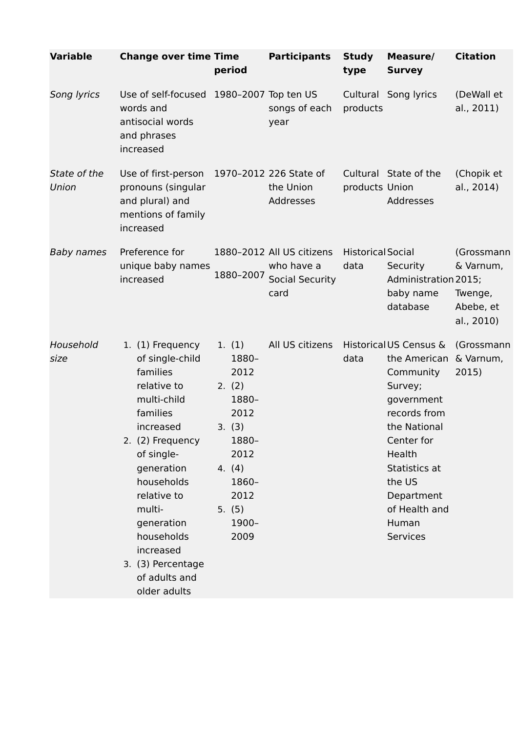| <b>Variable</b>                        | <b>Change over time Time</b>                                                                                                                                                                                                                                                               | period                                                                                                                                             | <b>Participants</b>                                                                          | <b>Study</b><br>type                     | <b>Measure/</b><br><b>Survey</b>                                                                                                                                                                                                                                                                  | <b>Citation</b>                                                                      |
|----------------------------------------|--------------------------------------------------------------------------------------------------------------------------------------------------------------------------------------------------------------------------------------------------------------------------------------------|----------------------------------------------------------------------------------------------------------------------------------------------------|----------------------------------------------------------------------------------------------|------------------------------------------|---------------------------------------------------------------------------------------------------------------------------------------------------------------------------------------------------------------------------------------------------------------------------------------------------|--------------------------------------------------------------------------------------|
| Song lyrics                            | Use of self-focused 1980-2007 Top ten US<br>words and<br>antisocial words<br>and phrases<br>increased                                                                                                                                                                                      |                                                                                                                                                    | songs of each<br>year                                                                        | products                                 | Cultural Song lyrics                                                                                                                                                                                                                                                                              | (DeWall et<br>al., 2011)                                                             |
| State of the<br><b>Union</b>           | Use of first-person 1970-2012 226 State of<br>pronouns (singular<br>and plural) and<br>mentions of family<br>increased                                                                                                                                                                     |                                                                                                                                                    | the Union<br>Addresses                                                                       | products Union                           | Cultural State of the<br>Addresses                                                                                                                                                                                                                                                                | (Chopik et<br>al., 2014)                                                             |
| <b>Baby names</b><br>Household<br>size | Preference for<br>unique baby names<br>increased<br>1. (1) Frequency<br>of single-child<br>families<br>relative to<br>multi-child<br>families<br>increased<br>2. (2) Frequency<br>of single-<br>generation<br>households<br>relative to<br>multi-<br>generation<br>households<br>increased | 1880-2007<br>1. (1)<br>1880-<br>2012<br>2. (2)<br>1880-<br>2012<br>3. (3)<br>1880-<br>2012<br>4. $(4)$<br>1860-<br>2012<br>5. (5)<br>1900-<br>2009 | 1880-2012 All US citizens<br>who have a<br><b>Social Security</b><br>card<br>All US citizens | <b>Historical Social</b><br>data<br>data | Security<br>Administration 2015;<br>baby name<br>database<br>Historical US Census &<br>the American & Varnum,<br>Community<br>Survey;<br>government<br>records from<br>the National<br>Center for<br>Health<br>Statistics at<br>the US<br>Department<br>of Health and<br>Human<br><b>Services</b> | (Grossmann<br>& Varnum,<br>Twenge,<br>Abebe, et<br>al., 2010)<br>(Grossmann<br>2015) |
|                                        | 3. (3) Percentage<br>of adults and<br>older adults                                                                                                                                                                                                                                         |                                                                                                                                                    |                                                                                              |                                          |                                                                                                                                                                                                                                                                                                   |                                                                                      |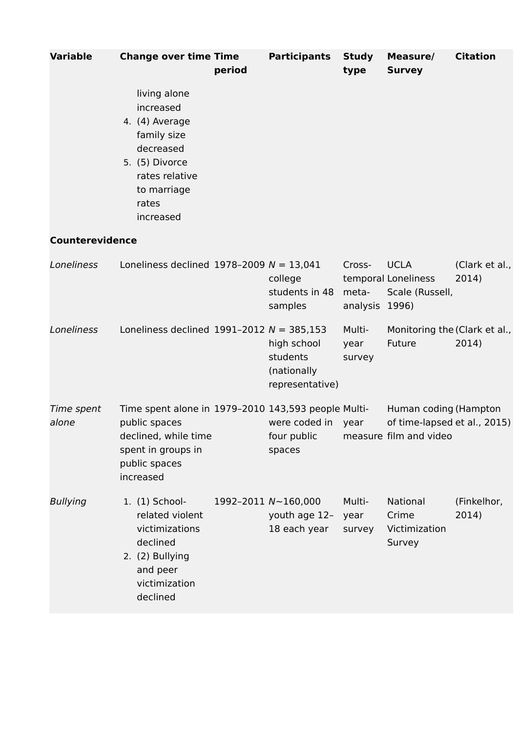| <b>Variable</b>        | <b>Change over time Time</b>                                                                                                                     | period | <b>Participants</b>                                                | <b>Study</b><br>type              | <b>Measure/</b><br><b>Survey</b>                      | <b>Citation</b>         |
|------------------------|--------------------------------------------------------------------------------------------------------------------------------------------------|--------|--------------------------------------------------------------------|-----------------------------------|-------------------------------------------------------|-------------------------|
|                        | living alone<br>increased<br>4. (4) Average<br>family size<br>decreased<br>5. (5) Divorce<br>rates relative<br>to marriage<br>rates<br>increased |        |                                                                    |                                   |                                                       |                         |
| <b>Counterevidence</b> |                                                                                                                                                  |        |                                                                    |                                   |                                                       |                         |
| Loneliness             | Loneliness declined 1978-2009 $N = 13,041$                                                                                                       |        | college<br>students in 48<br>samples                               | Cross-<br>meta-<br>analysis 1996) | <b>UCLA</b><br>temporal Loneliness<br>Scale (Russell, | (Clark et al.,<br>2014) |
| Loneliness             | Loneliness declined 1991-2012 $N = 385,153$                                                                                                      |        | high school<br>students<br>(nationally<br>representative)          | Multi-<br>year<br>survey          | Monitoring the (Clark et al.,<br>Future               | 2014)                   |
| Time spent<br>alone    | Time spent alone in 1979-2010 143,593 people Multi-<br>public spaces<br>declined, while time<br>spent in groups in<br>public spaces<br>increased |        | were coded in year<br>four public measure film and video<br>spaces |                                   | Human coding (Hampton<br>of time-lapsed et al., 2015) |                         |
| <b>Bullying</b>        | 1. (1) School-<br>related violent<br>victimizations<br>declined<br>2. (2) Bullying<br>and peer<br>victimization<br>declined                      |        | 1992-2011 N~160,000<br>youth age 12-<br>18 each year               | Multi-<br>year<br>survey          | National<br>Crime<br>Victimization<br>Survey          | (Finkelhor,<br>2014)    |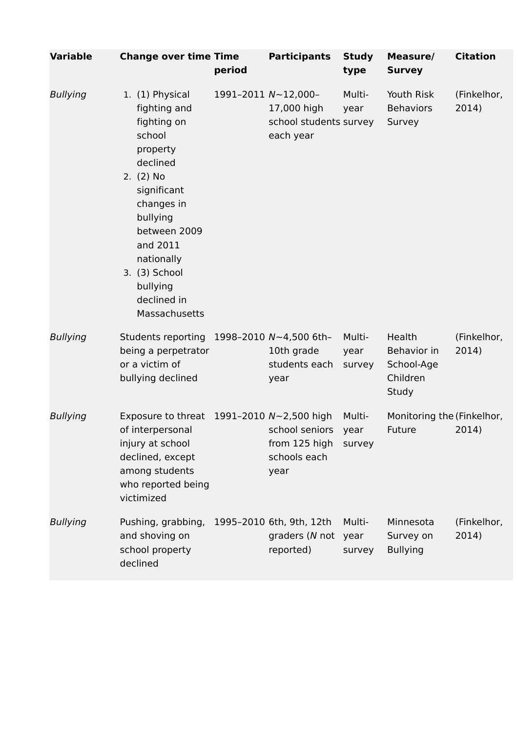| <b>Variable</b> | <b>Change over time Time</b>                                                                                                                                                                                                                  | period | <b>Participants</b>                                                       | <b>Study</b><br>type     | <b>Measure/</b><br><b>Survey</b>                         | <b>Citation</b>      |
|-----------------|-----------------------------------------------------------------------------------------------------------------------------------------------------------------------------------------------------------------------------------------------|--------|---------------------------------------------------------------------------|--------------------------|----------------------------------------------------------|----------------------|
| <b>Bullying</b> | 1. (1) Physical<br>fighting and<br>fighting on<br>school<br>property<br>declined<br>2. (2) No<br>significant<br>changes in<br>bullying<br>between 2009<br>and 2011<br>nationally<br>3. (3) School<br>bullying<br>declined in<br>Massachusetts |        | 1991-2011 N~12,000-<br>17,000 high<br>school students survey<br>each year | Multi-<br>year           | Youth Risk<br><b>Behaviors</b><br>Survey                 | (Finkelhor,<br>2014) |
| <b>Bullying</b> | Students reporting 1998-2010 $N \sim 4,500$ 6th-<br>being a perpetrator<br>or a victim of<br>bullying declined                                                                                                                                |        | 10th grade<br>students each<br>year                                       | Multi-<br>year<br>survey | Health<br>Behavior in<br>School-Age<br>Children<br>Study | (Finkelhor,<br>2014) |
| <b>Bullying</b> | Exposure to threat $1991-2010 N \sim 2,500$ high<br>of interpersonal<br>injury at school<br>declined, except<br>among students<br>who reported being<br>victimized                                                                            |        | school seniors year<br>from 125 high survey<br>schools each<br>year       | Multi-                   | Monitoring the (Finkelhor,<br>Future                     | 2014)                |
| <b>Bullying</b> | Pushing, grabbing,<br>and shoving on<br>school property<br>declined                                                                                                                                                                           |        | 1995-2010 6th, 9th, 12th<br>graders (N not year<br>reported)              | Multi-<br>survey         | Minnesota<br>Survey on<br><b>Bullying</b>                | (Finkelhor,<br>2014) |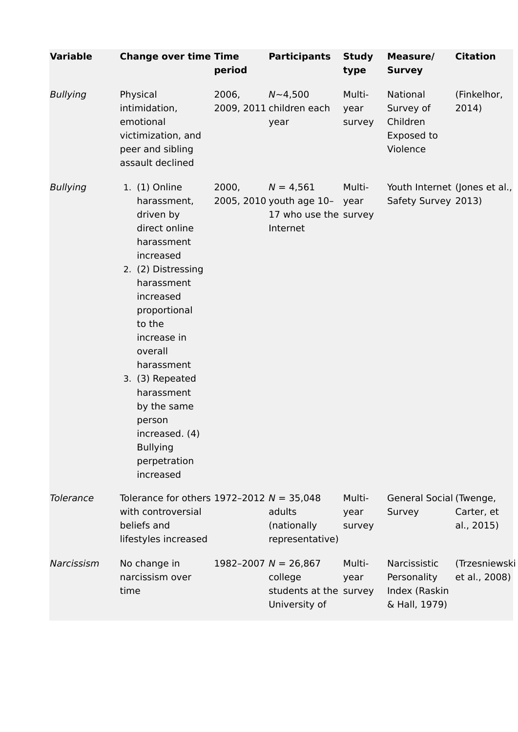| <b>Variable</b>   | <b>Change over time Time</b>                                                                                                                                                                                                                                                                                                         | period | <b>Participants</b>                                                               | <b>Study</b><br>type     | <b>Measure/</b><br><b>Survey</b>                              | <b>Citation</b>                |
|-------------------|--------------------------------------------------------------------------------------------------------------------------------------------------------------------------------------------------------------------------------------------------------------------------------------------------------------------------------------|--------|-----------------------------------------------------------------------------------|--------------------------|---------------------------------------------------------------|--------------------------------|
| <b>Bullying</b>   | Physical<br>intimidation,<br>emotional<br>victimization, and<br>peer and sibling<br>assault declined                                                                                                                                                                                                                                 | 2006,  | $N - 4,500$<br>2009, 2011 children each<br>year                                   | Multi-<br>year<br>survey | National<br>Survey of<br>Children<br>Exposed to<br>Violence   | (Finkelhor,<br>2014)           |
| Bullying          | 1. (1) Online<br>harassment,<br>driven by<br>direct online<br>harassment<br>increased<br>2. (2) Distressing<br>harassment<br>increased<br>proportional<br>to the<br>increase in<br>overall<br>harassment<br>3. (3) Repeated<br>harassment<br>by the same<br>person<br>increased. (4)<br><b>Bullying</b><br>perpetration<br>increased | 2000,  | $N = 4,561$<br>2005, 2010 youth age 10- year<br>17 who use the survey<br>Internet | Multi-                   | Youth Internet (Jones et al.,<br>Safety Survey 2013)          |                                |
| Tolerance         | Tolerance for others 1972-2012 $N = 35,048$<br>with controversial<br>beliefs and<br>lifestyles increased                                                                                                                                                                                                                             |        | adults<br>(nationally<br>representative)                                          | Multi-<br>year<br>survey | General Social (Twenge,<br>Survey                             | Carter, et<br>al., 2015)       |
| <b>Narcissism</b> | No change in<br>narcissism over<br>time                                                                                                                                                                                                                                                                                              |        | 1982-2007 $N = 26,867$<br>college<br>students at the survey<br>University of      | Multi-<br>year           | Narcissistic<br>Personality<br>Index (Raskin<br>& Hall, 1979) | (Trzesniewski<br>et al., 2008) |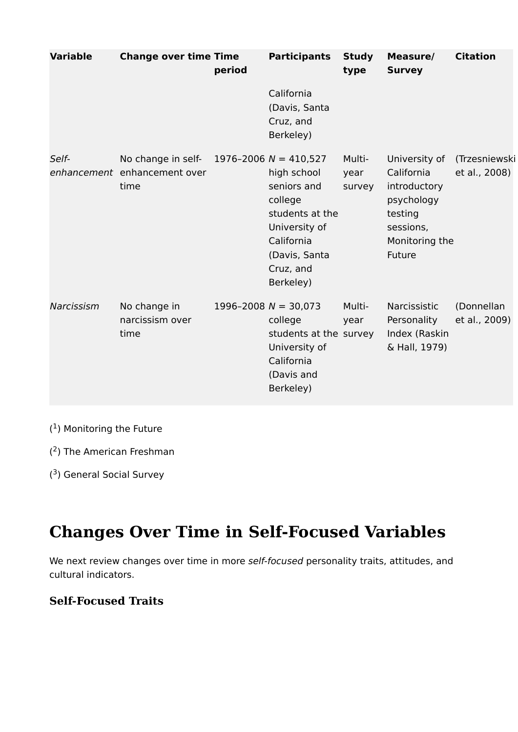| <b>Variable</b> | <b>Change over time Time</b>                               | period | <b>Participants</b>                                                                                                                                           | <b>Study</b><br>type     | <b>Measure/</b><br><b>Survey</b>                                                                              | <b>Citation</b>                |
|-----------------|------------------------------------------------------------|--------|---------------------------------------------------------------------------------------------------------------------------------------------------------------|--------------------------|---------------------------------------------------------------------------------------------------------------|--------------------------------|
|                 |                                                            |        | California<br>(Davis, Santa<br>Cruz, and<br>Berkeley)                                                                                                         |                          |                                                                                                               |                                |
| Self-           | No change in self-<br>enhancement enhancement over<br>time |        | 1976-2006 $N = 410,527$<br>high school<br>seniors and<br>college<br>students at the<br>University of<br>California<br>(Davis, Santa<br>Cruz, and<br>Berkeley) | Multi-<br>year<br>survey | University of<br>California<br>introductory<br>psychology<br>testing<br>sessions,<br>Monitoring the<br>Future | (Trzesniewski<br>et al., 2008) |
| Narcissism      | No change in<br>narcissism over<br>time                    |        | 1996-2008 $N = 30,073$<br>college<br>students at the survey<br>University of<br>California<br>(Davis and<br>Berkeley)                                         | Multi-<br>year           | Narcissistic<br>Personality<br>Index (Raskin<br>& Hall, 1979)                                                 | (Donnellan<br>et al., 2009)    |

 $(1)$  Monitoring the Future

 $(2)$  The American Freshman

 $(3)$  General Social Survey and the state of  $(3)$ 

# **Changes Over Time in Self-Focused Variables**

We next review changes over time in more *self-focused* personality traits, attitudes, and cultural indicators.

# **Self-Focused Traits**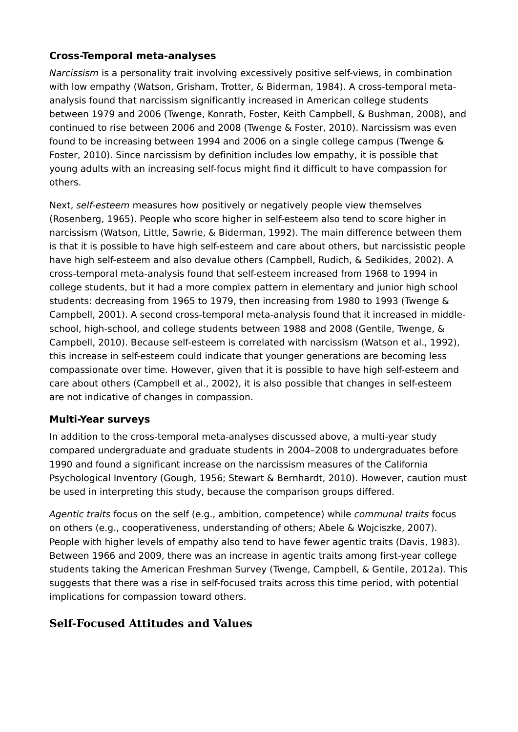## **Cross-Temporal meta-analyses**

*Narcissism* is a personality trait involving excessively positive self-views, in combination with low empathy (Watson, Grisham, Trotter, & Biderman, 1984). A cross-temporal metaanalysis found that narcissism significantly increased in American college students between 1979 and 2006 (Twenge, Konrath, Foster, Keith Campbell, & Bushman, 2008), and continued to rise between 2006 and 2008 (Twenge & Foster, 2010). Narcissism was even found to be increasing between 1994 and 2006 on a single college campus (Twenge & Foster, 2010). Since narcissism by definition includes low empathy, it is possible that young adults with an increasing self-focus might find it difficult to have compassion for others.

Next, *self-esteem* measures how positively or negatively people view themselves (Rosenberg, 1965). People who score higher in self-esteem also tend to score higher in narcissism (Watson, Little, Sawrie, & Biderman, 1992). The main difference between them is that it is possible to have high self-esteem and care about others, but narcissistic people have high self-esteem and also devalue others (Campbell, Rudich, & Sedikides, 2002). A cross-temporal meta-analysis found that self-esteem increased from 1968 to 1994 in college students, but it had a more complex pattern in elementary and junior high school students: decreasing from 1965 to 1979, then increasing from 1980 to 1993 (Twenge & Campbell, 2001). A second cross-temporal meta-analysis found that it increased in middleschool, high-school, and college students between 1988 and 2008 (Gentile, Twenge, & Campbell, 2010). Because self-esteem is correlated with narcissism (Watson et al., 1992), this increase in self-esteem could indicate that younger generations are becoming less compassionate over time. However, given that it is possible to have high self-esteem and care about others (Campbell et al., 2002), it is also possible that changes in self-esteem are not indicative of changes in compassion.

### **Multi-Year surveys**

In addition to the cross-temporal meta-analyses discussed above, a multi-year study compared undergraduate and graduate students in 2004–2008 to undergraduates before 1990 and found a significant increase on the narcissism measures of the California Psychological Inventory (Gough, 1956; Stewart & Bernhardt, 2010). However, caution must be used in interpreting this study, because the comparison groups differed.

*Agentic traits* focus on the self (e.g., ambition, competence) while *communal traits* focus on others (e.g., cooperativeness, understanding of others; Abele & Wojciszke, 2007). People with higher levels of empathy also tend to have fewer agentic traits (Davis, 1983). Between 1966 and 2009, there was an increase in agentic traits among first-year college students taking the American Freshman Survey (Twenge, Campbell, & Gentile, 2012a). This suggests that there was a rise in self-focused traits across this time period, with potential implications for compassion toward others.

# **Self-Focused Attitudes and Values**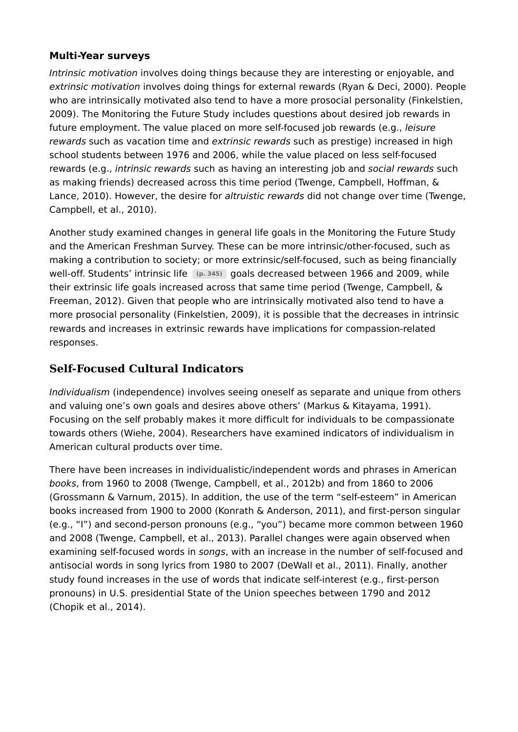#### **Multi-Year surveys**

*Intrinsic motivation* involves doing things because they are interesting or enjoyable, and *extrinsic motivation* involves doing things for external rewards (Ryan & Deci, 2000). People who are intrinsically motivated also tend to have a more prosocial personality (Finkelstien, 2009). The Monitoring the Future Study includes questions about desired job rewards in future employment. The value placed on more self-focused job rewards (e.g., *leisure rewards* such as vacation time and *extrinsic rewards* such as prestige) increased in high school students between 1976 and 2006, while the value placed on less self-focused rewards (e.g., *intrinsic rewards* such as having an interesting job and *social rewards* such as making friends) decreased across this time period (Twenge, Campbell, Hoffman, & Lance, 2010). However, the desire for *altruistic rewards* did not change over time (Twenge, Campbell, et al., 2010).

Another study examined changes in general life goals in the Monitoring the Future Study and the American Freshman Survey. These can be more intrinsic/other-focused, such as making a contribution to society; or more extrinsic/self-focused, such as being financially well-off. Students' intrinsic life (p. 345) goals decreased between 1966 and 2009, while their extrinsic life goals increased across that same time period (Twenge, Campbell, & Freeman, 2012). Given that people who are intrinsically motivated also tend to have a more prosocial personality (Finkelstien, 2009), it is possible that the decreases in intrinsic rewards and increases in extrinsic rewards have implications for compassion-related responses.

## **Self-Focused Cultural Indicators**

*Individualism* (independence) involves seeing oneself as separate and unique from others and valuing one's own goals and desires above others' (Markus & Kitayama, 1991). Focusing on the self probably makes it more difficult for individuals to be compassionate towards others (Wiehe, 2004). Researchers have examined indicators of individualism in American cultural products over time.

There have been increases in individualistic/independent words and phrases in American *books*, from 1960 to 2008 (Twenge, Campbell, et al., 2012b) and from 1860 to 2006 (Grossmann & Varnum, 2015). In addition, the use of the term "self-esteem" in American books increased from 1900 to 2000 (Konrath & Anderson, 2011), and first-person singular (e.g., "I") and second-person pronouns (e.g., "you") became more common between 1960 and 2008 (Twenge, Campbell, et al., 2013). Parallel changes were again observed when examining self-focused words in *songs*, with an increase in the number of self-focused and antisocial words in song lyrics from 1980 to 2007 (DeWall et al., 2011). Finally, another study found increases in the use of words that indicate self-interest (e.g., first-person pronouns) in U.S. presidential State of the Union speeches between 1790 and 2012 (Chopik et al., 2014).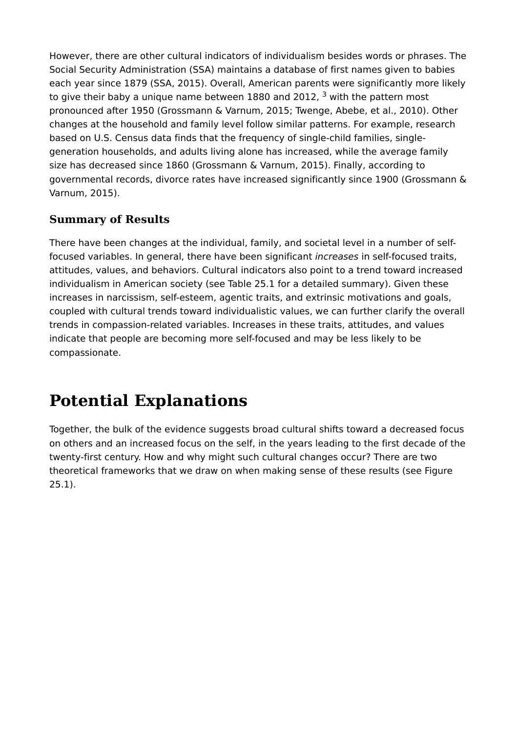However, there are other cultural indicators of individualism besides words or phrases. The Social Security Administration (SSA) maintains a database of first names given to babies each year since 1879 (SSA, 2015). Overall, American parents were significantly more likely to give their baby a unique name between 1880 and 2012,  $^3$  with the pattern most pronounced after 1950 (Grossmann & Varnum, 2015; Twenge, Abebe, et al., 2010). Other changes at the household and family level follow similar patterns. For example, research based on U.S. Census data finds that the frequency of single-child families, singlegeneration households, and adults living alone has increased, while the average family size has decreased since 1860 (Grossmann & Varnum, 2015). Finally, according to governmental records, divorce rates have increased significantly since 1900 (Grossmann & Varnum, 2015).

# **Summary of Results**

There have been changes at the individual, family, and societal level in a number of selffocused variables. In general, there have been significant *increases* in self-focused traits, attitudes, values, and behaviors. Cultural indicators also point to a trend toward increased individualism in American society (see Table 25.1 for a detailed summary). Given these increases in narcissism, self-esteem, agentic traits, and extrinsic motivations and goals, coupled with cultural trends toward individualistic values, we can further clarify the overall trends in compassion-related variables. Increases in these traits, attitudes, and values indicate that people are becoming more self-focused and may be less likely to be compassionate.

# **Potential Explanations**

Together, the bulk of the evidence suggests broad cultural shifts toward a decreased focus on others and an increased focus on the self, in the years leading to the first decade of the twenty-first century. How and why might such cultural changes occur? There are two theoretical frameworks that we draw on when making sense of these results (see Figure 25.1).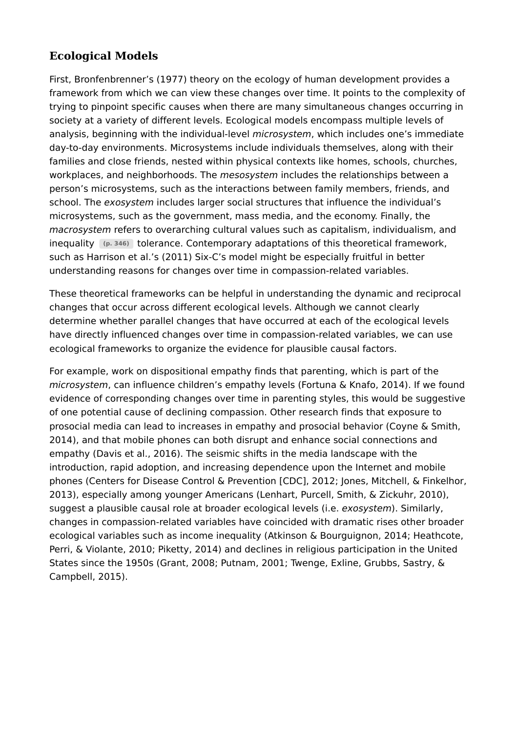## **Ecological Models**

First, Bronfenbrenner's (1977) theory on the ecology of human development provides a framework from which we can view these changes over time. It points to the complexity of trying to pinpoint specific causes when there are many simultaneous changes occurring in society at a variety of different levels. Ecological models encompass multiple levels of analysis, beginning with the individual-level *microsystem*, which includes one's immediate day-to-day environments. Microsystems include individuals themselves, along with their families and close friends, nested within physical contexts like homes, schools, churches, workplaces, and neighborhoods. The *mesosystem* includes the relationships between a person's microsystems, such as the interactions between family members, friends, and school. The *exosystem* includes larger social structures that influence the individual's microsystems, such as the government, mass media, and the economy. Finally, the *macrosystem* refers to overarching cultural values such as capitalism, individualism, and inequality (p. 346) tolerance. Contemporary adaptations of this theoretical framework, such as Harrison et al.'s (2011) Six-C's model might be especially fruitful in better understanding reasons for changes over time in compassion-related variables.

These theoretical frameworks can be helpful in understanding the dynamic and reciprocal changes that occur across different ecological levels. Although we cannot clearly determine whether parallel changes that have occurred at each of the ecological levels have directly influenced changes over time in compassion-related variables, we can use ecological frameworks to organize the evidence for plausible causal factors.

For example, work on dispositional empathy finds that parenting, which is part of the *microsystem*, can influence children's empathy levels (Fortuna & Knafo, 2014). If we found evidence of corresponding changes over time in parenting styles, this would be suggestive of one potential cause of declining compassion. Other research finds that exposure to prosocial media can lead to increases in empathy and prosocial behavior (Coyne & Smith, 2014), and that mobile phones can both disrupt and enhance social connections and empathy (Davis et al., 2016). The seismic shifts in the media landscape with the introduction, rapid adoption, and increasing dependence upon the Internet and mobile phones (Centers for Disease Control & Prevention [CDC], 2012; Jones, Mitchell, & Finkelhor, 2013), especially among younger Americans (Lenhart, Purcell, Smith, & Zickuhr, 2010), suggest a plausible causal role at broader ecological levels (i.e. *exosystem*). Similarly, changes in compassion-related variables have coincided with dramatic rises other broader ecological variables such as income inequality (Atkinson & Bourguignon, 2014; Heathcote, Perri, & Violante, 2010; Piketty, 2014) and declines in religious participation in the United States since the 1950s (Grant, 2008; Putnam, 2001; Twenge, Exline, Grubbs, Sastry, & Campbell, 2015).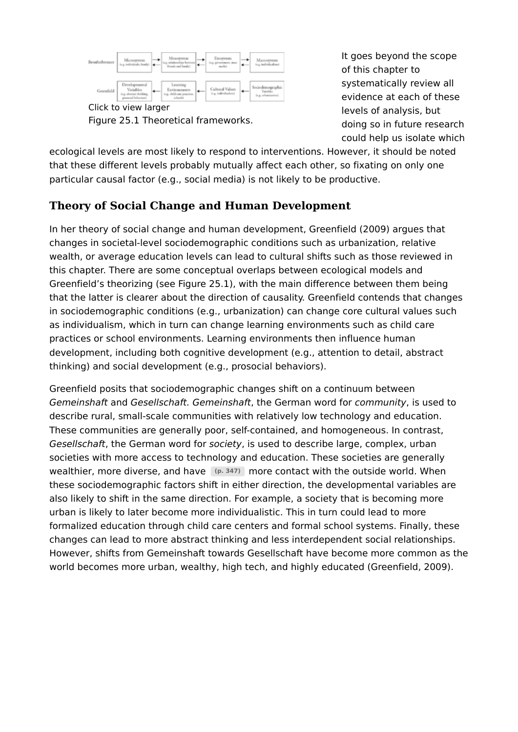

Figure 25.1 Theoretical frameworks.

It goes beyond the scope of this chapter to systematically review all evidence at each of these levels of analysis, but doing so in future research could help us isolate which

ecological levels are most likely to respond to interventions. However, it should be noted that these different levels probably mutually affect each other, so fixating on only one particular causal factor (e.g., social media) is not likely to be productive.

## **Theory of Social Change and Human Development**

In her theory of social change and human development, Greenfield (2009) argues that changes in societal-level sociodemographic conditions such as urbanization, relative wealth, or average education levels can lead to cultural shifts such as those reviewed in this chapter. There are some conceptual overlaps between ecological models and Greenfield's theorizing (see Figure 25.1), with the main difference between them being that the latter is clearer about the direction of causality. Greenfield contends that changes in sociodemographic conditions (e.g., urbanization) can change core cultural values such as individualism, which in turn can change learning environments such as child care practices or school environments. Learning environments then influence human development, including both cognitive development (e.g., attention to detail, abstract thinking) and social development (e.g., prosocial behaviors).

Greenfield posits that sociodemographic changes shift on a continuum between *Gemeinshaft* and *Gesellschaft. Gemeinshaft*, the German word for *community*, is used to describe rural, small-scale communities with relatively low technology and education. These communities are generally poor, self-contained, and homogeneous. In contrast, *Gesellschaft*, the German word for *society*, is used to describe large, complex, urban societies with more access to technology and education. These societies are generally wealthier, more diverse, and have (p. 347) more contact with the outside world. When these sociodemographic factors shift in either direction, the developmental variables are also likely to shift in the same direction. For example, a society that is becoming more urban is likely to later become more individualistic. This in turn could lead to more formalized education through child care centers and formal school systems. Finally, these changes can lead to more abstract thinking and less interdependent social relationships. However, shifts from Gemeinshaft towards Gesellschaft have become more common as the world becomes more urban, wealthy, high tech, and highly educated (Greenfield, 2009).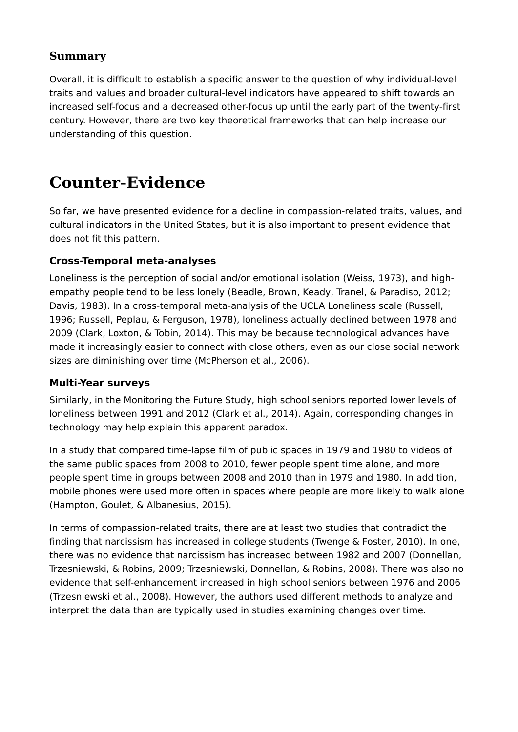## **Summary**

Overall, it is difficult to establish a specific answer to the question of why individual-level traits and values and broader cultural-level indicators have appeared to shift towards an increased self-focus and a decreased other-focus up until the early part of the twenty-first century. However, there are two key theoretical frameworks that can help increase our understanding of this question.

# **Counter-Evidence**

So far, we have presented evidence for a decline in compassion-related traits, values, and cultural indicators in the United States, but it is also important to present evidence that does not fit this pattern.

## **Cross-Temporal meta-analyses**

Loneliness is the perception of social and/or emotional isolation (Weiss, 1973), and highempathy people tend to be less lonely (Beadle, Brown, Keady, Tranel, & Paradiso, 2012; Davis, 1983). In a cross-temporal meta-analysis of the UCLA Loneliness scale (Russell, 1996; Russell, Peplau, & Ferguson, 1978), loneliness actually declined between 1978 and 2009 (Clark, Loxton, & Tobin, 2014). This may be because technological advances have made it increasingly easier to connect with close others, even as our close social network sizes are diminishing over time (McPherson et al., 2006).

### **Multi-Year surveys**

Similarly, in the Monitoring the Future Study, high school seniors reported lower levels of loneliness between 1991 and 2012 (Clark et al., 2014). Again, corresponding changes in technology may help explain this apparent paradox.

In a study that compared time-lapse film of public spaces in 1979 and 1980 to videos of the same public spaces from 2008 to 2010, fewer people spent time alone, and more people spent time in groups between 2008 and 2010 than in 1979 and 1980. In addition, mobile phones were used more often in spaces where people are more likely to walk alone (Hampton, Goulet, & Albanesius, 2015).

In terms of compassion-related traits, there are at least two studies that contradict the finding that narcissism has increased in college students (Twenge & Foster, 2010). In one, there was no evidence that narcissism has increased between 1982 and 2007 (Donnellan, Trzesniewski, & Robins, 2009; Trzesniewski, Donnellan, & Robins, 2008). There was also no evidence that self-enhancement increased in high school seniors between 1976 and 2006 (Trzesniewski et al., 2008). However, the authors used different methods to analyze and interpret the data than are typically used in studies examining changes over time.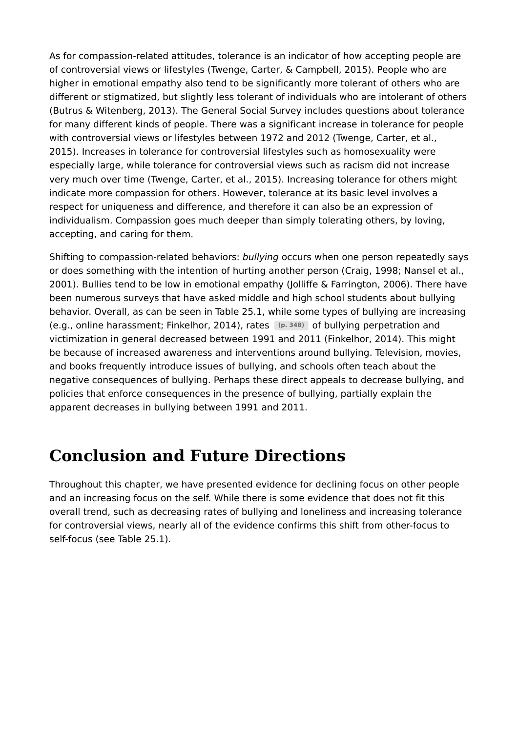As for compassion-related attitudes, tolerance is an indicator of how accepting people are of controversial views or lifestyles (Twenge, Carter, & Campbell, 2015). People who are higher in emotional empathy also tend to be significantly more tolerant of others who are different or stigmatized, but slightly less tolerant of individuals who are intolerant of others (Butrus & Witenberg, 2013). The General Social Survey includes questions about tolerance for many different kinds of people. There was a significant increase in tolerance for people with controversial views or lifestyles between 1972 and 2012 (Twenge, Carter, et al., 2015). Increases in tolerance for controversial lifestyles such as homosexuality were especially large, while tolerance for controversial views such as racism did not increase very much over time (Twenge, Carter, et al., 2015). Increasing tolerance for others might indicate more compassion for others. However, tolerance at its basic level involves a respect for uniqueness and difference, and therefore it can also be an expression of individualism. Compassion goes much deeper than simply tolerating others, by loving, accepting, and caring for them.

Shifting to compassion-related behaviors: *bullying* occurs when one person repeatedly says or does something with the intention of hurting another person (Craig, 1998; Nansel et al., 2001). Bullies tend to be low in emotional empathy (Jolliffe & Farrington, 2006). There have been numerous surveys that have asked middle and high school students about bullying behavior. Overall, as can be seen in Table 25.1, while some types of bullying are increasing (e.g., online harassment; Finkelhor, 2014), rates (p. 348) of bullying perpetration and victimization in general decreased between 1991 and 2011 (Finkelhor, 2014). This might be because of increased awareness and interventions around bullying. Television, movies, and books frequently introduce issues of bullying, and schools often teach about the negative consequences of bullying. Perhaps these direct appeals to decrease bullying, and policies that enforce consequences in the presence of bullying, partially explain the apparent decreases in bullying between 1991 and 2011.

# **Conclusion and Future Directions**

Throughout this chapter, we have presented evidence for declining focus on other people and an increasing focus on the self. While there is some evidence that does not fit this overall trend, such as decreasing rates of bullying and loneliness and increasing tolerance for controversial views, nearly all of the evidence confirms this shift from other-focus to self-focus (see Table 25.1).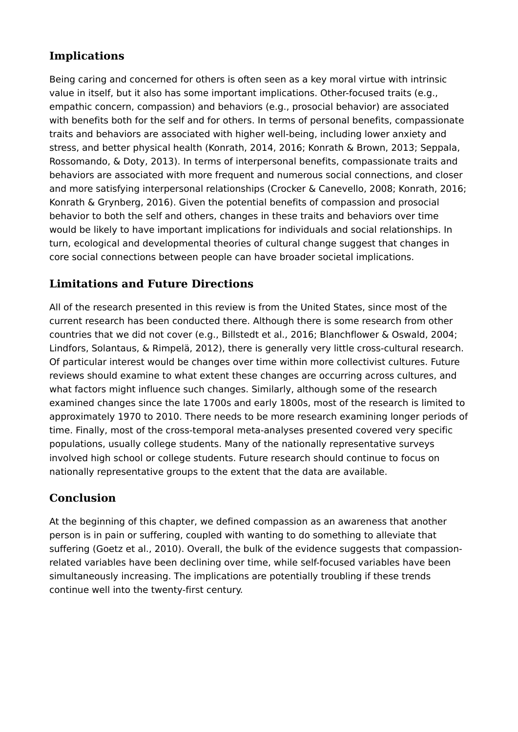# **Implications**

Being caring and concerned for others is often seen as a key moral virtue with intrinsic value in itself, but it also has some important implications. Other-focused traits (e.g., empathic concern, compassion) and behaviors (e.g., prosocial behavior) are associated with benefits both for the self and for others. In terms of personal benefits, compassionate traits and behaviors are associated with higher well-being, including lower anxiety and stress, and better physical health (Konrath, 2014, 2016; Konrath & Brown, 2013; Seppala, Rossomando, & Doty, 2013). In terms of interpersonal benefits, compassionate traits and behaviors are associated with more frequent and numerous social connections, and closer and more satisfying interpersonal relationships (Crocker & Canevello, 2008; Konrath, 2016; Konrath & Grynberg, 2016). Given the potential benefits of compassion and prosocial behavior to both the self and others, changes in these traits and behaviors over time would be likely to have important implications for individuals and social relationships. In turn, ecological and developmental theories of cultural change suggest that changes in core social connections between people can have broader societal implications.

# **Limitations and Future Directions**

All of the research presented in this review is from the United States, since most of the current research has been conducted there. Although there is some research from other countries that we did not cover (e.g., Billstedt et al., 2016; Blanchflower & Oswald, 2004; Lindfors, Solantaus, & Rimpelä, 2012), there is generally very little cross-cultural research. Of particular interest would be changes over time within more collectivist cultures. Future reviews should examine to what extent these changes are occurring across cultures, and what factors might influence such changes. Similarly, although some of the research examined changes since the late 1700s and early 1800s, most of the research is limited to approximately 1970 to 2010. There needs to be more research examining longer periods of time. Finally, most of the cross-temporal meta-analyses presented covered very specific populations, usually college students. Many of the nationally representative surveys involved high school or college students. Future research should continue to focus on nationally representative groups to the extent that the data are available.

# **Conclusion**

At the beginning of this chapter, we defined compassion as an awareness that another person is in pain or suffering, coupled with wanting to do something to alleviate that suffering (Goetz et al., 2010). Overall, the bulk of the evidence suggests that compassionrelated variables have been declining over time, while self-focused variables have been simultaneously increasing. The implications are potentially troubling if these trends continue well into the twenty-first century.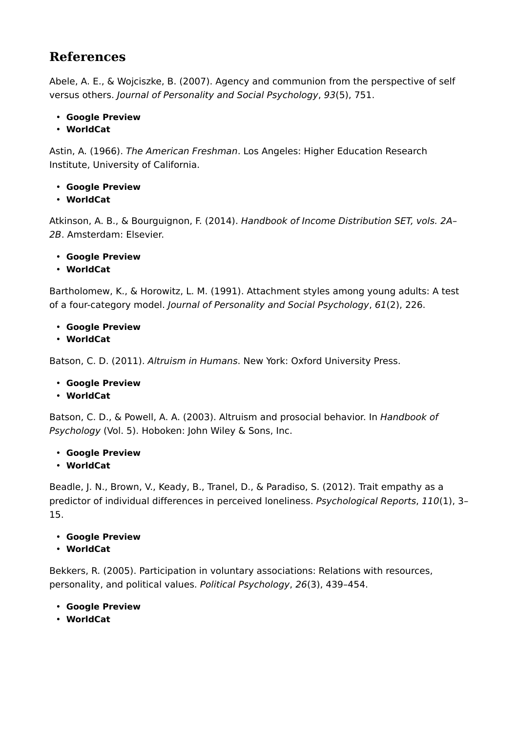# **References**

Abele, A. E., & Wojciszke, B. (2007). Agency and communion from the perspective of self versus others. *Journal of Personality and Social Psychology*, *93*(5), 751.

- **Google Preview**
- **WorldCat**

Astin, A. (1966). *The American Freshman*. Los Angeles: Higher Education Research Institute, University of California.

- **Google Preview**
- **WorldCat**

Atkinson, A. B., & Bourguignon, F. (2014). *Handbook of Income Distribution SET, vols. 2A– 2B*. Amsterdam: Elsevier.

- **Google Preview**
- **WorldCat**

Bartholomew, K., & Horowitz, L. M. (1991). Attachment styles among young adults: A test of a four-category model. *Journal of Personality and Social Psychology*, *61*(2), 226.

- **Google Preview**
- **WorldCat**

Batson, C. D. (2011). *Altruism in Humans*. New York: Oxford University Press.

- **Google Preview**
- **WorldCat**

Batson, C. D., & Powell, A. A. (2003). Altruism and prosocial behavior. In *Handbook of Psychology* (Vol. 5). Hoboken: John Wiley & Sons, Inc.

- **Google Preview**
- **WorldCat**

Beadle, J. N., Brown, V., Keady, B., Tranel, D., & Paradiso, S. (2012). Trait empathy as a predictor of individual differences in perceived loneliness. *Psychological Reports*, *110*(1), 3– 15.

- **Google Preview**
- **WorldCat**

Bekkers, R. (2005). Participation in voluntary associations: Relations with resources, personality, and political values. *Political Psychology*, *26*(3), 439–454.

- **Google Preview**
- **WorldCat**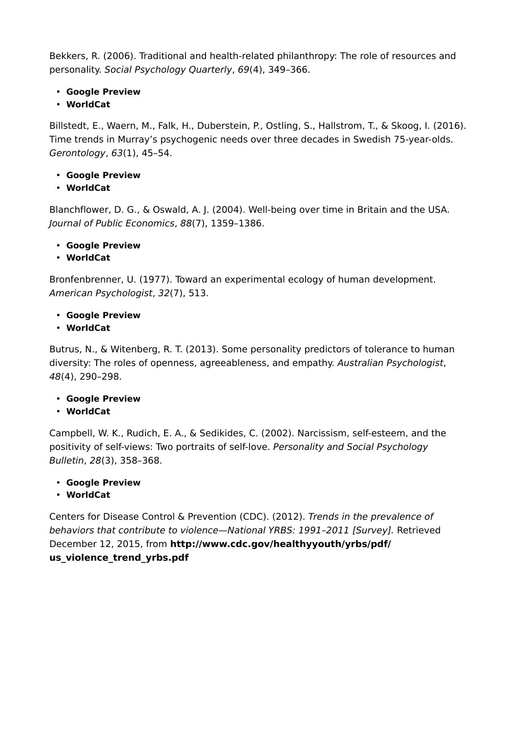Bekkers, R. (2006). Traditional and health-related philanthropy: The role of resources and personality. *Social Psychology Quarterly*, *69*(4), 349–366.

- **Google Preview**
- **WorldCat**

Billstedt, E., Waern, M., Falk, H., Duberstein, P., Ostling, S., Hallstrom, T., & Skoog, I. (2016). Time trends in Murray's psychogenic needs over three decades in Swedish 75-year-olds. *Gerontology*, *63*(1), 45–54.

- **Google Preview**
- **WorldCat**

Blanchflower, D. G., & Oswald, A. J. (2004). Well-being over time in Britain and the USA. *Journal of Public Economics*, *88*(7), 1359–1386.

- **Google Preview**
- **WorldCat**

Bronfenbrenner, U. (1977). Toward an experimental ecology of human development. *American Psychologist*, *32*(7), 513.

- **Google Preview**
- **WorldCat**

Butrus, N., & Witenberg, R. T. (2013). Some personality predictors of tolerance to human diversity: The roles of openness, agreeableness, and empathy. *Australian Psychologist*, *48*(4), 290–298.

- **Google Preview**
- **WorldCat**

Campbell, W. K., Rudich, E. A., & Sedikides, C. (2002). Narcissism, self-esteem, and the positivity of self-views: Two portraits of self-love. *Personality and Social Psychology Bulletin*, *28*(3), 358–368.

- **Google Preview**
- **WorldCat**

Centers for Disease Control & Prevention (CDC). (2012). *Trends in the prevalence of behaviors that contribute to violence—National YRBS: 1991–2011 [Survey].* Retrieved December 12, 2015, from **http://www.cdc.gov/healthyyouth/yrbs/pdf/ us\_violence\_trend\_yrbs.pdf**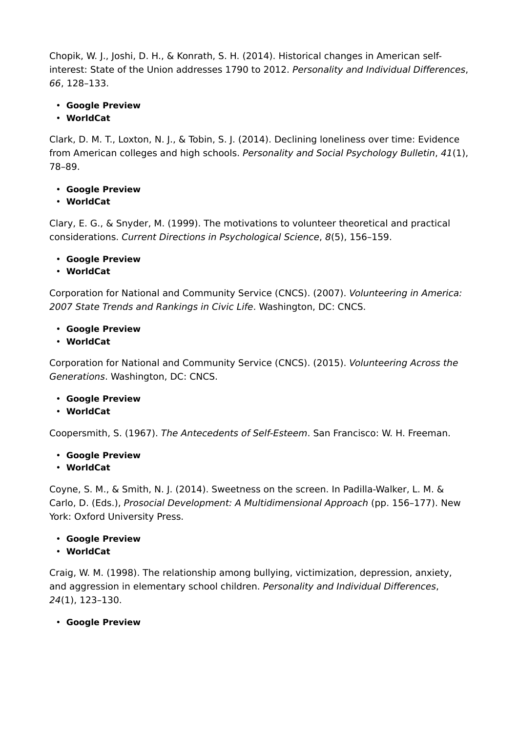Chopik, W. J., Joshi, D. H., & Konrath, S. H. (2014). Historical changes in American selfinterest: State of the Union addresses 1790 to 2012. *Personality and Individual Differences*, *66*, 128–133.

- **Google Preview**
- **WorldCat**

Clark, D. M. T., Loxton, N. J., & Tobin, S. J. (2014). Declining loneliness over time: Evidence from American colleges and high schools. *Personality and Social Psychology Bulletin*, *41*(1), 78–89.

- **Google Preview**
- **WorldCat**

Clary, E. G., & Snyder, M. (1999). The motivations to volunteer theoretical and practical considerations. *Current Directions in Psychological Science*, *8*(5), 156–159.

- **Google Preview**
- **WorldCat**

Corporation for National and Community Service (CNCS). (2007). *Volunteering in America: 2007 State Trends and Rankings in Civic Life*. Washington, DC: CNCS.

- **Google Preview**
- **WorldCat**

Corporation for National and Community Service (CNCS). (2015). *Volunteering Across the Generations*. Washington, DC: CNCS.

- **Google Preview**
- **WorldCat**

Coopersmith, S. (1967). *The Antecedents of Self-Esteem*. San Francisco: W. H. Freeman.

- **Google Preview**
- **WorldCat**

Coyne, S. M., & Smith, N. J. (2014). Sweetness on the screen. In Padilla-Walker, L. M. & Carlo, D. (Eds.), *Prosocial Development: A Multidimensional Approach* (pp. 156–177). New York: Oxford University Press.

- **Google Preview**
- **WorldCat**

Craig, W. M. (1998). The relationship among bullying, victimization, depression, anxiety, and aggression in elementary school children. *Personality and Individual Differences*, *24*(1), 123–130.

• **Google Preview**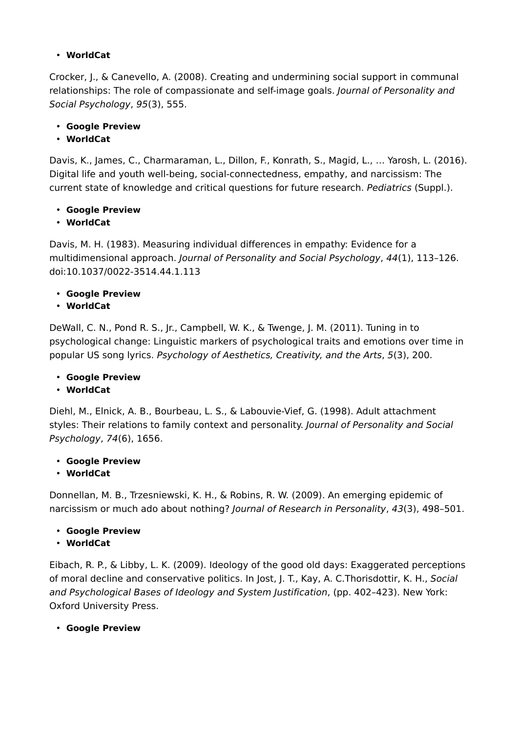#### • **WorldCat**

Crocker, J., & Canevello, A. (2008). Creating and undermining social support in communal relationships: The role of compassionate and self-image goals. *Journal of Personality and Social Psychology*, *95*(3), 555.

• **Google Preview**

#### • **WorldCat**

Davis, K., James, C., Charmaraman, L., Dillon, F., Konrath, S., Magid, L., … Yarosh, L. (2016). Digital life and youth well-being, social-connectedness, empathy, and narcissism: The current state of knowledge and critical questions for future research. *Pediatrics* (Suppl.).

- **Google Preview**
- **WorldCat**

Davis, M. H. (1983). Measuring individual differences in empathy: Evidence for a multidimensional approach. *Journal of Personality and Social Psychology*, *44*(1), 113–126. doi:10.1037/0022-3514.44.1.113

- **Google Preview**
- **WorldCat**

DeWall, C. N., Pond R. S., Jr., Campbell, W. K., & Twenge, J. M. (2011). Tuning in to psychological change: Linguistic markers of psychological traits and emotions over time in popular US song lyrics. *Psychology of Aesthetics, Creativity, and the Arts*, *5*(3), 200.

- **Google Preview**
- **WorldCat**

Diehl, M., Elnick, A. B., Bourbeau, L. S., & Labouvie-Vief, G. (1998). Adult attachment styles: Their relations to family context and personality. *Journal of Personality and Social Psychology*, *74*(6), 1656.

- **Google Preview**
- **WorldCat**

Donnellan, M. B., Trzesniewski, K. H., & Robins, R. W. (2009). An emerging epidemic of narcissism or much ado about nothing? *Journal of Research in Personality*, *43*(3), 498–501.

- **Google Preview**
- **WorldCat**

Eibach, R. P., & Libby, L. K. (2009). Ideology of the good old days: Exaggerated perceptions of moral decline and conservative politics. In Jost, J. T., Kay, A. C.Thorisdottir, K. H., *Social and Psychological Bases of Ideology and System Justification*, (pp. 402–423). New York: Oxford University Press.

• **Google Preview**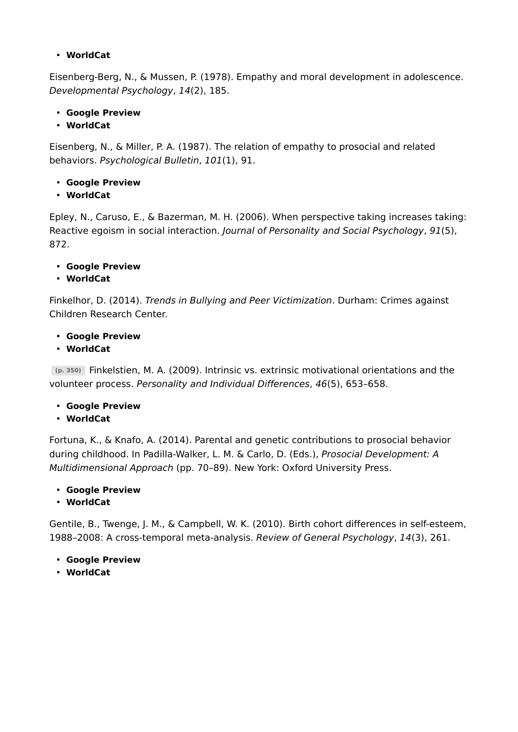#### • **WorldCat**

Eisenberg-Berg, N., & Mussen, P. (1978). Empathy and moral development in adolescence. *Developmental Psychology*, *14*(2), 185.

- **Google Preview**
- **WorldCat**

Eisenberg, N., & Miller, P. A. (1987). The relation of empathy to prosocial and related behaviors. *Psychological Bulletin*, *101*(1), 91.

- **Google Preview**
- **WorldCat**

Epley, N., Caruso, E., & Bazerman, M. H. (2006). When perspective taking increases taking: Reactive egoism in social interaction. *Journal of Personality and Social Psychology*, *91*(5), 872.

- **Google Preview**
- **WorldCat**

Finkelhor, D. (2014). *Trends in Bullying and Peer Victimization*. Durham: Crimes against Children Research Center.

- **Google Preview**
- **WorldCat**

Finkelstien, M. A. (2009). Intrinsic vs. extrinsic motivational orientations and the **(p. 350)** volunteer process. *Personality and Individual Differences*, *46*(5), 653–658.

- **Google Preview**
- **WorldCat**

Fortuna, K., & Knafo, A. (2014). Parental and genetic contributions to prosocial behavior during childhood. In Padilla-Walker, L. M. & Carlo, D. (Eds.), *Prosocial Development: A Multidimensional Approach* (pp. 70–89). New York: Oxford University Press.

- **Google Preview**
- **WorldCat**

Gentile, B., Twenge, J. M., & Campbell, W. K. (2010). Birth cohort differences in self-esteem, 1988–2008: A cross-temporal meta-analysis. *Review of General Psychology*, *14*(3), 261.

- **Google Preview**
- **WorldCat**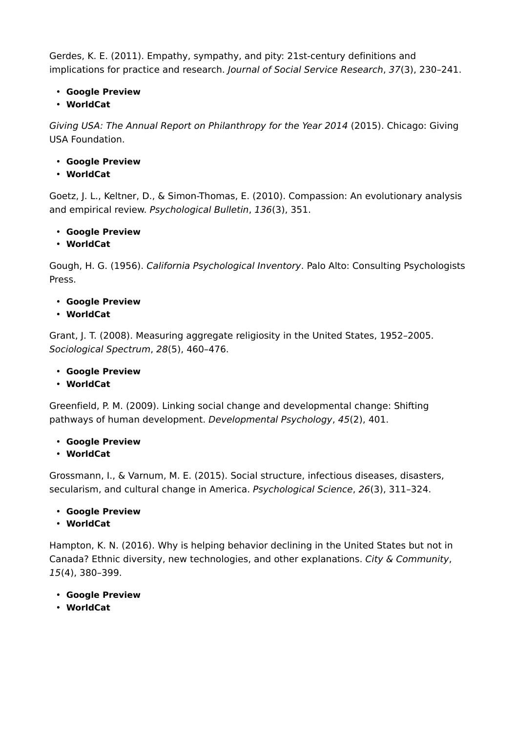Gerdes, K. E. (2011). Empathy, sympathy, and pity: 21st-century definitions and implications for practice and research. *Journal of Social Service Research*, *37*(3), 230–241.

- **Google Preview**
- **WorldCat**

*Giving USA: The Annual Report on Philanthropy for the Year 2014* (2015). Chicago: Giving USA Foundation.

- **Google Preview**
- **WorldCat**

Goetz, J. L., Keltner, D., & Simon-Thomas, E. (2010). Compassion: An evolutionary analysis and empirical review. *Psychological Bulletin*, *136*(3), 351.

- **Google Preview**
- **WorldCat**

Gough, H. G. (1956). *California Psychological Inventory*. Palo Alto: Consulting Psychologists Press.

- **Google Preview**
- **WorldCat**

Grant, J. T. (2008). Measuring aggregate religiosity in the United States, 1952–2005. *Sociological Spectrum*, *28*(5), 460–476.

- **Google Preview**
- **WorldCat**

Greenfield, P. M. (2009). Linking social change and developmental change: Shifting pathways of human development. *Developmental Psychology*, *45*(2), 401.

- **Google Preview**
- **WorldCat**

Grossmann, I., & Varnum, M. E. (2015). Social structure, infectious diseases, disasters, secularism, and cultural change in America. *Psychological Science*, *26*(3), 311–324.

- **Google Preview**
- **WorldCat**

Hampton, K. N. (2016). Why is helping behavior declining in the United States but not in Canada? Ethnic diversity, new technologies, and other explanations. *City & Community*, *15*(4), 380–399.

- **Google Preview**
- **WorldCat**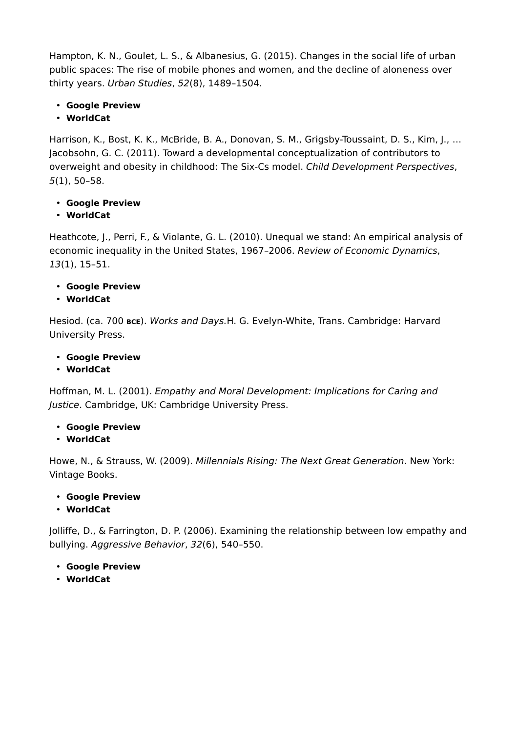Hampton, K. N., Goulet, L. S., & Albanesius, G. (2015). Changes in the social life of urban public spaces: The rise of mobile phones and women, and the decline of aloneness over thirty years. *Urban Studies*, *52*(8), 1489–1504.

- **Google Preview**
- **WorldCat**

Harrison, K., Bost, K. K., McBride, B. A., Donovan, S. M., Grigsby-Toussaint, D. S., Kim, J., ... Jacobsohn, G. C. (2011). Toward a developmental conceptualization of contributors to overweight and obesity in childhood: The Six‐Cs model. *Child Development Perspectives*, *5*(1), 50–58.

- **Google Preview**
- **WorldCat**

Heathcote, J., Perri, F., & Violante, G. L. (2010). Unequal we stand: An empirical analysis of economic inequality in the United States, 1967–2006. *Review of Economic Dynamics*, *13*(1), 15–51.

- **Google Preview**
- **WorldCat**

Hesiod. (ca. 700 **BCE**). *Works and Days.*H. G. Evelyn-White, Trans. Cambridge: Harvard University Press.

- **Google Preview**
- **WorldCat**

Hoffman, M. L. (2001). *Empathy and Moral Development: Implications for Caring and Justice*. Cambridge, UK: Cambridge University Press.

- **Google Preview**
- **WorldCat**

Howe, N., & Strauss, W. (2009). *Millennials Rising: The Next Great Generation*. New York: Vintage Books.

- **Google Preview**
- **WorldCat**

Jolliffe, D., & Farrington, D. P. (2006). Examining the relationship between low empathy and bullying. *Aggressive Behavior*, *32*(6), 540–550.

- **Google Preview**
- **WorldCat**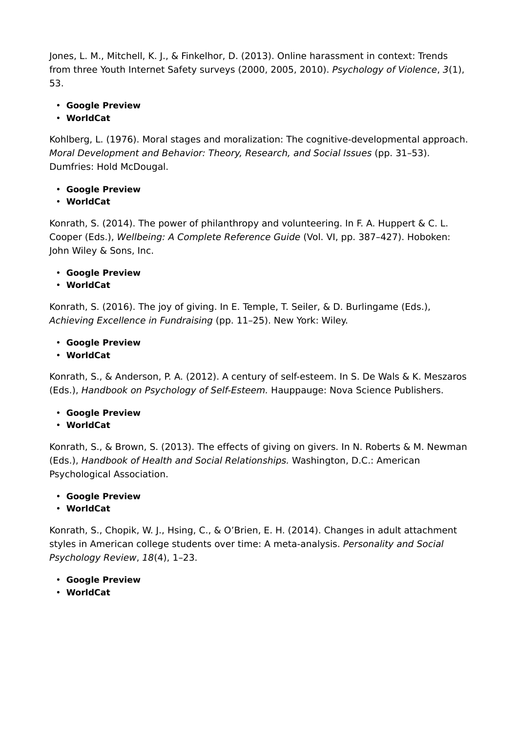Jones, L. M., Mitchell, K. J., & Finkelhor, D. (2013). Online harassment in context: Trends from three Youth Internet Safety surveys (2000, 2005, 2010). *Psychology of Violence*, *3*(1), 53.

- **Google Preview**
- **WorldCat**

Kohlberg, L. (1976). Moral stages and moralization: The cognitive-developmental approach. *Moral Development and Behavior: Theory, Research, and Social Issues* (pp. 31–53). Dumfries: Hold McDougal.

- **Google Preview**
- **WorldCat**

Konrath, S. (2014). The power of philanthropy and volunteering. In F. A. Huppert & C. L. Cooper (Eds.), *Wellbeing: A Complete Reference Guide* (Vol. VI, pp. 387–427). Hoboken: John Wiley & Sons, Inc.

- **Google Preview**
- **WorldCat**

Konrath, S. (2016). The joy of giving. In E. Temple, T. Seiler, & D. Burlingame (Eds.), *Achieving Excellence in Fundraising* (pp. 11–25). New York: Wiley.

- **Google Preview**
- **WorldCat**

Konrath, S., & Anderson, P. A. (2012). A century of self-esteem. In S. De Wals & K. Meszaros (Eds.), *Handbook on Psychology of Self-Esteem.* Hauppauge: Nova Science Publishers.

- **Google Preview**
- **WorldCat**

Konrath, S., & Brown, S. (2013). The effects of giving on givers. In N. Roberts & M. Newman (Eds.), *Handbook of Health and Social Relationships.* Washington, D.C.: American Psychological Association.

- **Google Preview**
- **WorldCat**

Konrath, S., Chopik, W. J., Hsing, C., & O'Brien, E. H. (2014). Changes in adult attachment styles in American college students over time: A meta-analysis. *Personality and Social Psychology Review*, *18*(4), 1–23.

- **Google Preview**
- **WorldCat**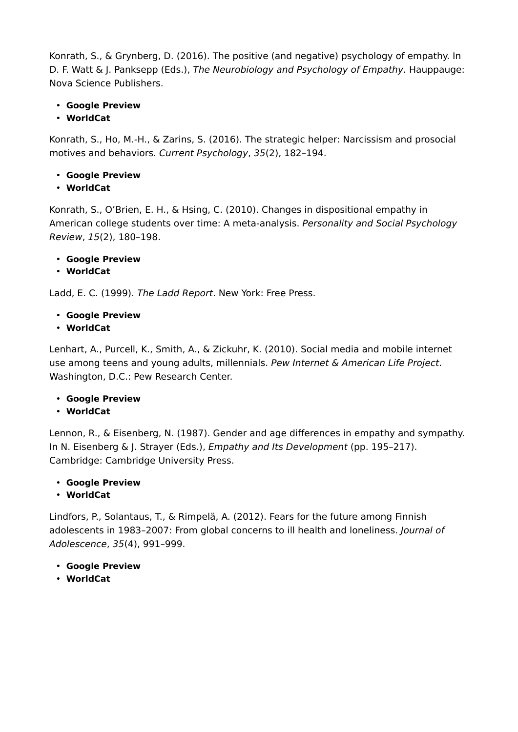Konrath, S., & Grynberg, D. (2016). The positive (and negative) psychology of empathy. In D. F. Watt & J. Panksepp (Eds.), *The Neurobiology and Psychology of Empathy*. Hauppauge: Nova Science Publishers.

- **Google Preview**
- **WorldCat**

Konrath, S., Ho, M.-H., & Zarins, S. (2016). The strategic helper: Narcissism and prosocial motives and behaviors. *Current Psychology*, *35*(2), 182–194.

- **Google Preview**
- **WorldCat**

Konrath, S., O'Brien, E. H., & Hsing, C. (2010). Changes in dispositional empathy in American college students over time: A meta-analysis. *Personality and Social Psychology Review*, *15*(2), 180–198.

- **Google Preview**
- **WorldCat**

Ladd, E. C. (1999). *The Ladd Report*. New York: Free Press.

- **Google Preview**
- **WorldCat**

Lenhart, A., Purcell, K., Smith, A., & Zickuhr, K. (2010). Social media and mobile internet use among teens and young adults, millennials. *Pew Internet & American Life Project*. Washington, D.C.: Pew Research Center.

- **Google Preview**
- **WorldCat**

Lennon, R., & Eisenberg, N. (1987). Gender and age differences in empathy and sympathy. In N. Eisenberg & J. Strayer (Eds.), *Empathy and Its Development* (pp. 195–217). Cambridge: Cambridge University Press.

- **Google Preview**
- **WorldCat**

Lindfors, P., Solantaus, T., & Rimpelä, A. (2012). Fears for the future among Finnish adolescents in 1983–2007: From global concerns to ill health and loneliness. *Journal of Adolescence*, *35*(4), 991–999.

- **Google Preview**
- **WorldCat**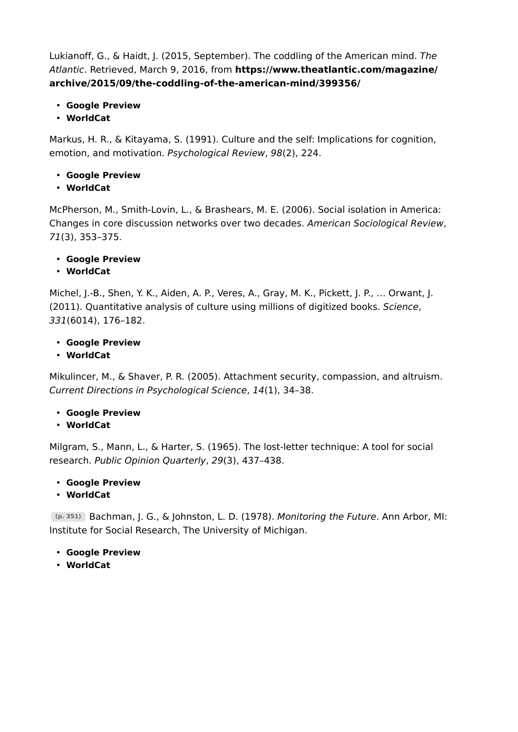Lukianoff, G., & Haidt, J. (2015, September). The coddling of the American mind. *The Atlantic*. Retrieved, March 9, 2016, from **https://www.theatlantic.com/magazine/ archive/2015/09/the-coddling-of-the-american-mind/399356/**

- **Google Preview**
- **WorldCat**

Markus, H. R., & Kitayama, S. (1991). Culture and the self: Implications for cognition, emotion, and motivation. *Psychological Review*, *98*(2), 224.

- **Google Preview**
- **WorldCat**

McPherson, M., Smith-Lovin, L., & Brashears, M. E. (2006). Social isolation in America: Changes in core discussion networks over two decades. *American Sociological Review*, *71*(3), 353–375.

- **Google Preview**
- **WorldCat**

Michel, J.-B., Shen, Y. K., Aiden, A. P., Veres, A., Gray, M. K., Pickett, J. P., … Orwant, J. (2011). Quantitative analysis of culture using millions of digitized books. *Science*, *331*(6014), 176–182.

- **Google Preview**
- **WorldCat**

Mikulincer, M., & Shaver, P. R. (2005). Attachment security, compassion, and altruism. *Current Directions in Psychological Science*, *14*(1), 34–38.

- **Google Preview**
- **WorldCat**

Milgram, S., Mann, L., & Harter, S. (1965). The lost-letter technique: A tool for social research. *Public Opinion Quarterly*, *29*(3), 437–438.

- **Google Preview**
- **WorldCat**

Bachman, J. G., & Johnston, L. D. (1978). *Monitoring the Future*. Ann Arbor, MI: **(p. 351)** Institute for Social Research, The University of Michigan.

- **Google Preview**
- **WorldCat**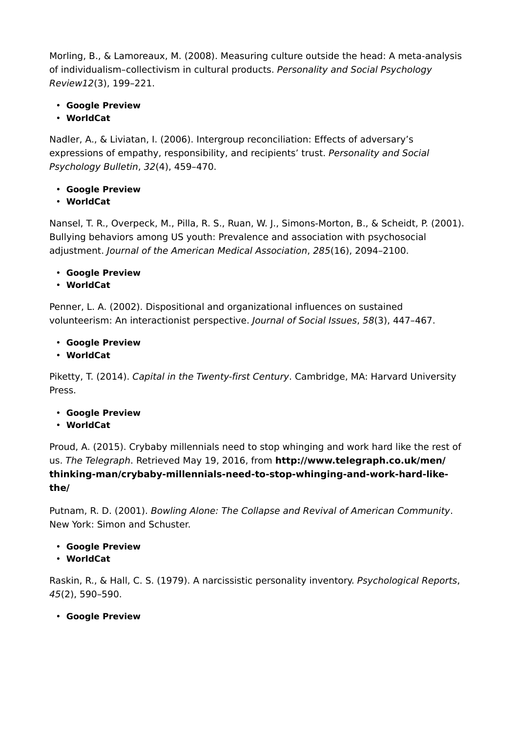Morling, B., & Lamoreaux, M. (2008). Measuring culture outside the head: A meta-analysis of individualism–collectivism in cultural products. *Personality and Social Psychology Review12*(3), 199–221.

- **Google Preview**
- **WorldCat**

Nadler, A., & Liviatan, I. (2006). Intergroup reconciliation: Effects of adversary's expressions of empathy, responsibility, and recipients' trust. *Personality and Social Psychology Bulletin*, *32*(4), 459–470.

- **Google Preview**
- **WorldCat**

Nansel, T. R., Overpeck, M., Pilla, R. S., Ruan, W. J., Simons-Morton, B., & Scheidt, P. (2001). Bullying behaviors among US youth: Prevalence and association with psychosocial adjustment. *Journal of the American Medical Association*, *285*(16), 2094–2100.

- **Google Preview**
- **WorldCat**

Penner, L. A. (2002). Dispositional and organizational influences on sustained volunteerism: An interactionist perspective. *Journal of Social Issues*, *58*(3), 447–467.

- **Google Preview**
- **WorldCat**

Piketty, T. (2014). *Capital in the Twenty-first Century*. Cambridge, MA: Harvard University Press.

- **Google Preview**
- **WorldCat**

Proud, A. (2015). Crybaby millennials need to stop whinging and work hard like the rest of us. *The Telegraph*. Retrieved May 19, 2016, from **http://www.telegraph.co.uk/men/ thinking-man/crybaby-millennials-need-to-stop-whinging-and-work-hard-likethe/**

Putnam, R. D. (2001). *Bowling Alone: The Collapse and Revival of American Community*. New York: Simon and Schuster.

- **Google Preview**
- **WorldCat**

Raskin, R., & Hall, C. S. (1979). A narcissistic personality inventory. *Psychological Reports*, *45*(2), 590–590.

• **Google Preview**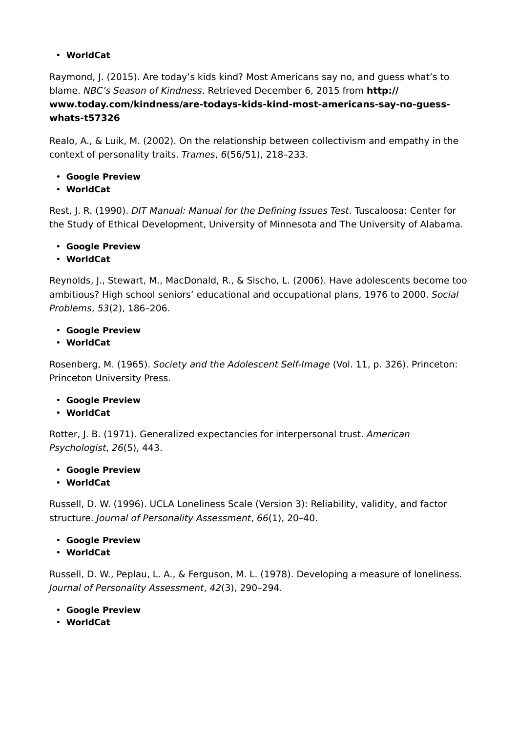#### • **WorldCat**

Raymond, J. (2015). Are today's kids kind? Most Americans say no, and guess what's to blame. *NBC's Season of Kindness*. Retrieved December 6, 2015 from **http:// www.today.com/kindness/are-todays-kids-kind-most-americans-say-no-guesswhats-t57326**

Realo, A., & Luik, M. (2002). On the relationship between collectivism and empathy in the context of personality traits. *Trames*, *6*(56/51), 218–233.

- **Google Preview**
- **WorldCat**

Rest, J. R. (1990). *DIT Manual: Manual for the Defining Issues Test*. Tuscaloosa: Center for the Study of Ethical Development, University of Minnesota and The University of Alabama.

- **Google Preview**
- **WorldCat**

Reynolds, J., Stewart, M., MacDonald, R., & Sischo, L. (2006). Have adolescents become too ambitious? High school seniors' educational and occupational plans, 1976 to 2000. *Social Problems*, *53*(2), 186–206.

- **Google Preview**
- **WorldCat**

Rosenberg, M. (1965). *Society and the Adolescent Self-Image* (Vol. 11, p. 326). Princeton: Princeton University Press.

- **Google Preview**
- **WorldCat**

Rotter, J. B. (1971). Generalized expectancies for interpersonal trust. *American Psychologist*, *26*(5), 443.

- **Google Preview**
- **WorldCat**

Russell, D. W. (1996). UCLA Loneliness Scale (Version 3): Reliability, validity, and factor structure. *Journal of Personality Assessment*, *66*(1), 20–40.

- **Google Preview**
- **WorldCat**

Russell, D. W., Peplau, L. A., & Ferguson, M. L. (1978). Developing a measure of loneliness. *Journal of Personality Assessment*, *42*(3), 290–294.

- **Google Preview**
- **WorldCat**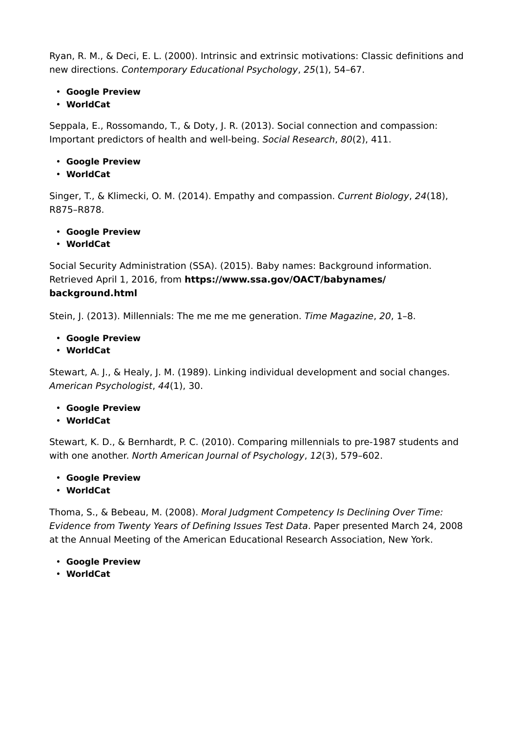Ryan, R. M., & Deci, E. L. (2000). Intrinsic and extrinsic motivations: Classic definitions and new directions. *Contemporary Educational Psychology*, *25*(1), 54–67.

- **Google Preview**
- **WorldCat**

Seppala, E., Rossomando, T., & Doty, J. R. (2013). Social connection and compassion: Important predictors of health and well-being. *Social Research*, *80*(2), 411.

- **Google Preview**
- **WorldCat**

Singer, T., & Klimecki, O. M. (2014). Empathy and compassion. *Current Biology*, *24*(18), R875–R878.

- **Google Preview**
- **WorldCat**

Social Security Administration (SSA). (2015). Baby names: Background information. Retrieved April 1, 2016, from **https://www.ssa.gov/OACT/babynames/ background.html**

Stein, J. (2013). Millennials: The me me me generation. *Time Magazine*, *20*, 1–8.

- **Google Preview**
- **WorldCat**

Stewart, A. J., & Healy, J. M. (1989). Linking individual development and social changes. *American Psychologist*, *44*(1), 30.

- **Google Preview**
- **WorldCat**

Stewart, K. D., & Bernhardt, P. C. (2010). Comparing millennials to pre-1987 students and with one another. *North American Journal of Psychology*, *12*(3), 579–602.

- **Google Preview**
- **WorldCat**

Thoma, S., & Bebeau, M. (2008). *Moral Judgment Competency Is Declining Over Time: Evidence from Twenty Years of Defining Issues Test Data*. Paper presented March 24, 2008 at the Annual Meeting of the American Educational Research Association, New York.

- **Google Preview**
- **WorldCat**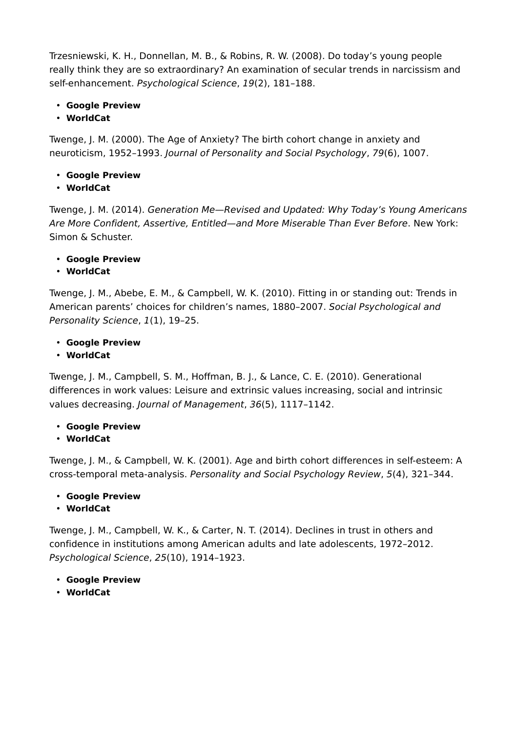Trzesniewski, K. H., Donnellan, M. B., & Robins, R. W. (2008). Do today's young people really think they are so extraordinary? An examination of secular trends in narcissism and self-enhancement. *Psychological Science*, *19*(2), 181–188.

- **Google Preview**
- **WorldCat**

Twenge, J. M. (2000). The Age of Anxiety? The birth cohort change in anxiety and neuroticism, 1952–1993. *Journal of Personality and Social Psychology*, *79*(6), 1007.

- **Google Preview**
- **WorldCat**

Twenge, J. M. (2014). *Generation Me—Revised and Updated: Why Today's Young Americans Are More Confident, Assertive, Entitled—and More Miserable Than Ever Before*. New York: Simon & Schuster.

- **Google Preview**
- **WorldCat**

Twenge, J. M., Abebe, E. M., & Campbell, W. K. (2010). Fitting in or standing out: Trends in American parents' choices for children's names, 1880–2007. *Social Psychological and Personality Science*, *1*(1), 19–25.

- **Google Preview**
- **WorldCat**

Twenge, J. M., Campbell, S. M., Hoffman, B. J., & Lance, C. E. (2010). Generational differences in work values: Leisure and extrinsic values increasing, social and intrinsic values decreasing. *Journal of Management*, *36*(5), 1117–1142.

- **Google Preview**
- **WorldCat**

Twenge, J. M., & Campbell, W. K. (2001). Age and birth cohort differences in self-esteem: A cross-temporal meta-analysis. *Personality and Social Psychology Review*, *5*(4), 321–344.

- **Google Preview**
- **WorldCat**

Twenge, J. M., Campbell, W. K., & Carter, N. T. (2014). Declines in trust in others and confidence in institutions among American adults and late adolescents, 1972–2012. *Psychological Science*, *25*(10), 1914–1923.

- **Google Preview**
- **WorldCat**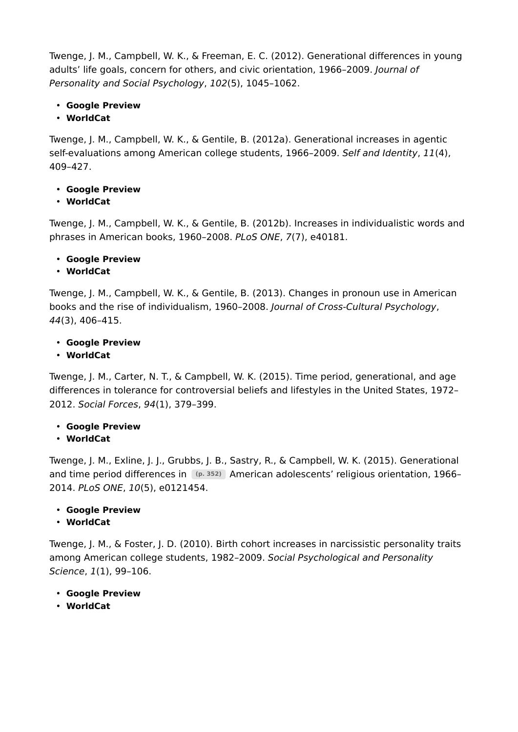Twenge, J. M., Campbell, W. K., & Freeman, E. C. (2012). Generational differences in young adults' life goals, concern for others, and civic orientation, 1966–2009. *Journal of Personality and Social Psychology*, *102*(5), 1045–1062.

• **Google Preview**

## • **WorldCat**

Twenge, J. M., Campbell, W. K., & Gentile, B. (2012a). Generational increases in agentic self-evaluations among American college students, 1966–2009. *Self and Identity*, *11*(4), 409–427.

- **Google Preview**
- **WorldCat**

Twenge, J. M., Campbell, W. K., & Gentile, B. (2012b). Increases in individualistic words and phrases in American books, 1960–2008. *PLoS ONE*, *7*(7), e40181.

- **Google Preview**
- **WorldCat**

Twenge, J. M., Campbell, W. K., & Gentile, B. (2013). Changes in pronoun use in American books and the rise of individualism, 1960–2008. *Journal of Cross-Cultural Psychology*, *44*(3), 406–415.

- **Google Preview**
- **WorldCat**

Twenge, J. M., Carter, N. T., & Campbell, W. K. (2015). Time period, generational, and age differences in tolerance for controversial beliefs and lifestyles in the United States, 1972– 2012. *Social Forces*, *94*(1), 379–399.

- **Google Preview**
- **WorldCat**

Twenge, J. M., Exline, J. J., Grubbs, J. B., Sastry, R., & Campbell, W. K. (2015). Generational and time period differences in (p. 352) American adolescents' religious orientation, 1966– 2014. *PLoS ONE*, *10*(5), e0121454.

- **Google Preview**
- **WorldCat**

Twenge, J. M., & Foster, J. D. (2010). Birth cohort increases in narcissistic personality traits among American college students, 1982–2009. *Social Psychological and Personality Science*, *1*(1), 99–106.

- **Google Preview**
- **WorldCat**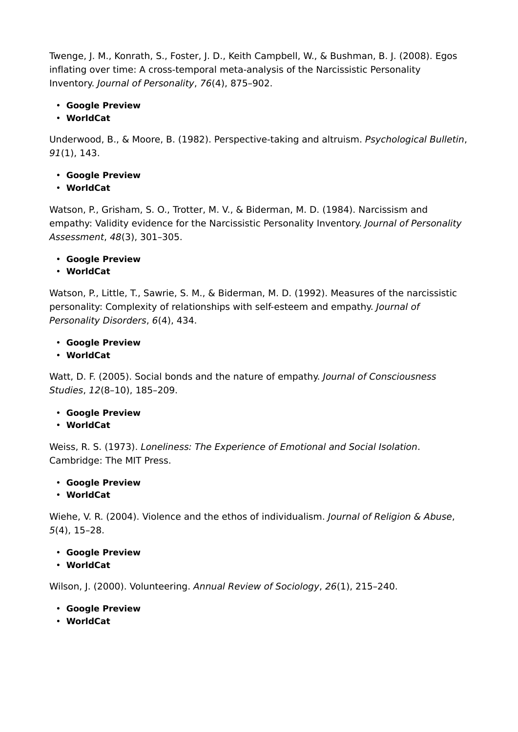Twenge, J. M., Konrath, S., Foster, J. D., Keith Campbell, W., & Bushman, B. J. (2008). Egos inflating over time: A cross-temporal meta-analysis of the Narcissistic Personality Inventory. *Journal of Personality*, *76*(4), 875–902.

- **Google Preview**
- **WorldCat**

Underwood, B., & Moore, B. (1982). Perspective-taking and altruism. *Psychological Bulletin*, *91*(1), 143.

- **Google Preview**
- **WorldCat**

Watson, P., Grisham, S. O., Trotter, M. V., & Biderman, M. D. (1984). Narcissism and empathy: Validity evidence for the Narcissistic Personality Inventory. *Journal of Personality Assessment*, *48*(3), 301–305.

- **Google Preview**
- **WorldCat**

Watson, P., Little, T., Sawrie, S. M., & Biderman, M. D. (1992). Measures of the narcissistic personality: Complexity of relationships with self-esteem and empathy. *Journal of Personality Disorders*, *6*(4), 434.

- **Google Preview**
- **WorldCat**

Watt, D. F. (2005). Social bonds and the nature of empathy. *Journal of Consciousness Studies*, *12*(8–10), 185–209.

- **Google Preview**
- **WorldCat**

Weiss, R. S. (1973). *Loneliness: The Experience of Emotional and Social Isolation*. Cambridge: The MIT Press.

- **Google Preview**
- **WorldCat**

Wiehe, V. R. (2004). Violence and the ethos of individualism. *Journal of Religion & Abuse*, *5*(4), 15–28.

- **Google Preview**
- **WorldCat**

Wilson, J. (2000). Volunteering. *Annual Review of Sociology*, *26*(1), 215–240.

- **Google Preview**
- **WorldCat**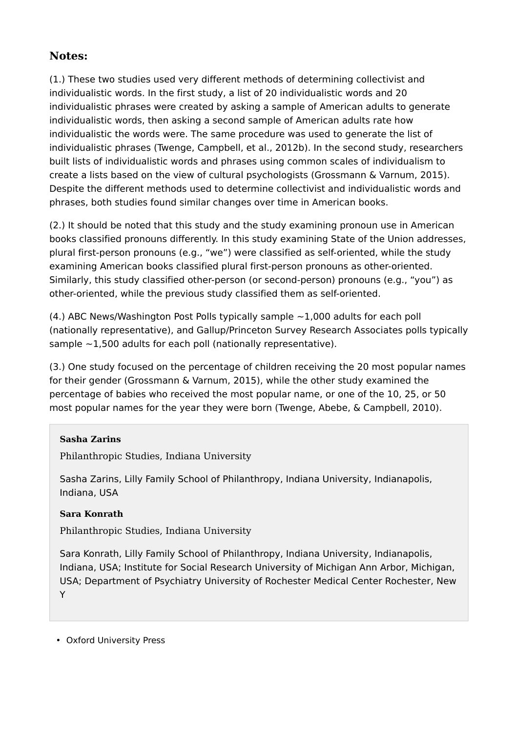## **Notes:**

(1.) These two studies used very different methods of determining collectivist and individualistic words. In the first study, a list of 20 individualistic words and 20 individualistic phrases were created by asking a sample of American adults to generate individualistic words, then asking a second sample of American adults rate how individualistic the words were. The same procedure was used to generate the list of individualistic phrases (Twenge, Campbell, et al., 2012b). In the second study, researchers built lists of individualistic words and phrases using common scales of individualism to create a lists based on the view of cultural psychologists (Grossmann & Varnum, 2015). Despite the different methods used to determine collectivist and individualistic words and phrases, both studies found similar changes over time in American books.

(2.) It should be noted that this study and the study examining pronoun use in American books classified pronouns differently. In this study examining State of the Union addresses, plural first-person pronouns (e.g., "we") were classified as self-oriented, while the study examining American books classified plural first-person pronouns as other-oriented. Similarly, this study classified other-person (or second-person) pronouns (e.g., "you") as other-oriented, while the previous study classified them as self-oriented.

(4.) ABC News/Washington Post Polls typically sample  $\sim$  1,000 adults for each poll (nationally representative), and Gallup/Princeton Survey Research Associates polls typically sample  $\sim$ 1,500 adults for each poll (nationally representative).

(3.) One study focused on the percentage of children receiving the 20 most popular names for their gender (Grossmann & Varnum, 2015), while the other study examined the percentage of babies who received the most popular name, or one of the 10, 25, or 50 most popular names for the year they were born (Twenge, Abebe, & Campbell, 2010).

#### **Sasha Zarins**

Philanthropic Studies, Indiana University

Sasha Zarins, Lilly Family School of Philanthropy, Indiana University, Indianapolis, Indiana, USA

#### **Sara Konrath**

Philanthropic Studies, Indiana University

Sara Konrath, Lilly Family School of Philanthropy, Indiana University, Indianapolis, Indiana, USA; Institute for Social Research University of Michigan Ann Arbor, Michigan, USA; Department of Psychiatry University of Rochester Medical Center Rochester, New Y and the state of the state of the state of the state of the state of the state of the state of the state of the state of the state of the state of the state of the state of the state of the state of the state of the stat

• Oxford University Press